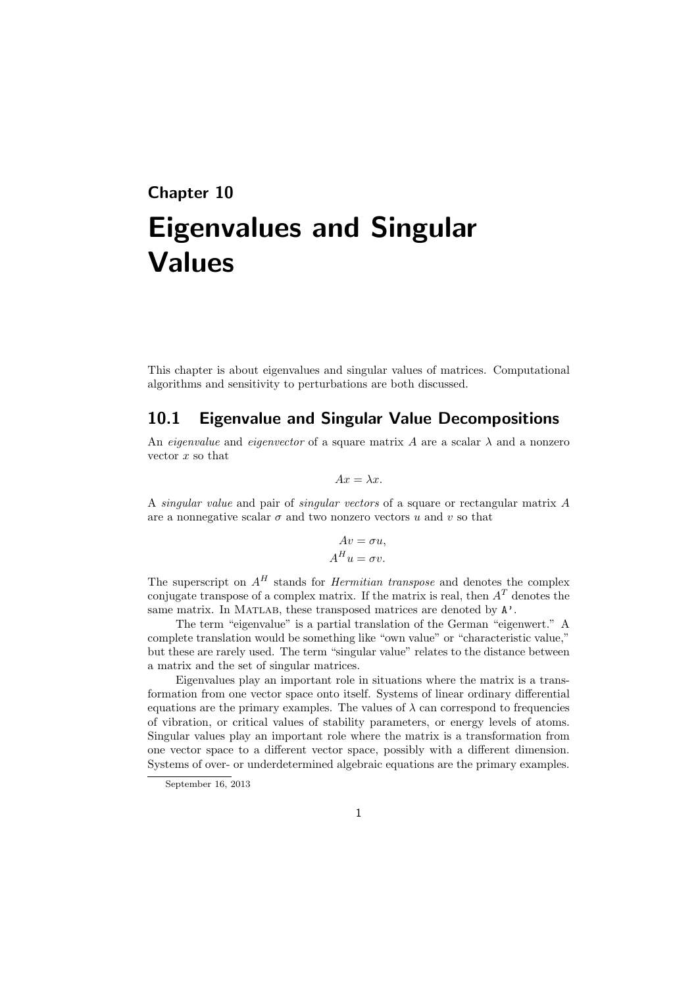# **Chapter 10 Eigenvalues and Singular Values**

This chapter is about eigenvalues and singular values of matrices. Computational algorithms and sensitivity to perturbations are both discussed.

## **10.1 Eigenvalue and Singular Value Decompositions**

An *eigenvalue* and *eigenvector* of a square matrix  $A$  are a scalar  $\lambda$  and a nonzero vector *x* so that

$$
Ax = \lambda x.
$$

A *singular value* and pair of *singular vectors* of a square or rectangular matrix *A* are a nonnegative scalar  $\sigma$  and two nonzero vectors  $u$  and  $v$  so that

$$
Av = \sigma u,
$$
  

$$
A^H u = \sigma v.
$$

The superscript on  $A<sup>H</sup>$  stands for *Hermitian transpose* and denotes the complex conjugate transpose of a complex matrix. If the matrix is real, then  $A<sup>T</sup>$  denotes the same matrix. In MATLAB, these transposed matrices are denoted by  $A'$ .

The term "eigenvalue" is a partial translation of the German "eigenwert." A complete translation would be something like "own value" or "characteristic value," but these are rarely used. The term "singular value" relates to the distance between a matrix and the set of singular matrices.

Eigenvalues play an important role in situations where the matrix is a transformation from one vector space onto itself. Systems of linear ordinary differential equations are the primary examples. The values of  $\lambda$  can correspond to frequencies of vibration, or critical values of stability parameters, or energy levels of atoms. Singular values play an important role where the matrix is a transformation from one vector space to a different vector space, possibly with a different dimension. Systems of over- or underdetermined algebraic equations are the primary examples.

September 16, 2013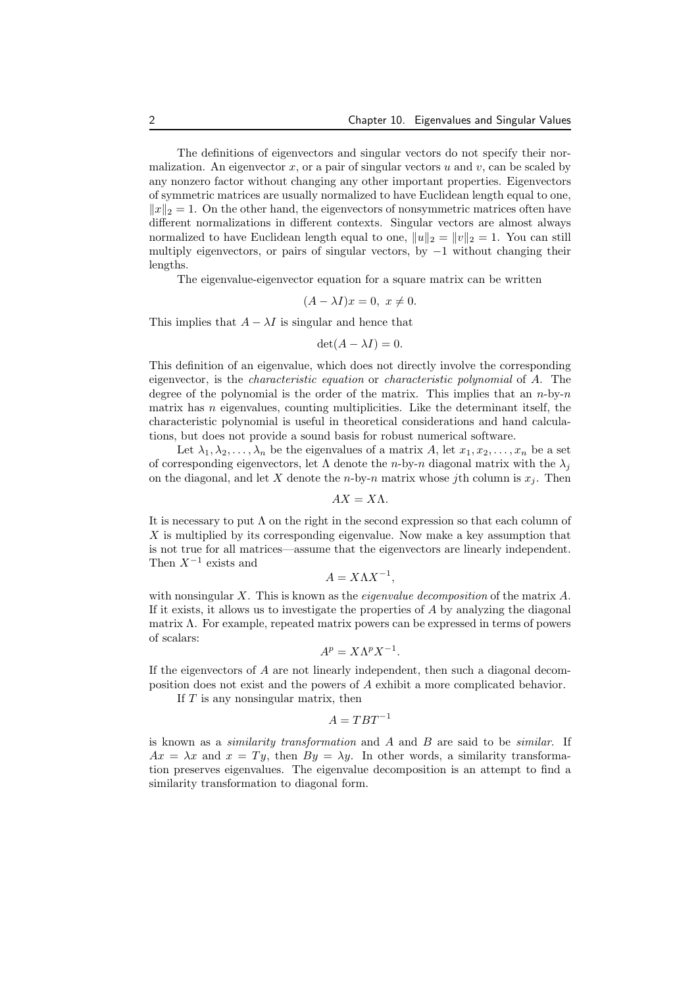The definitions of eigenvectors and singular vectors do not specify their normalization. An eigenvector  $x$ , or a pair of singular vectors  $u$  and  $v$ , can be scaled by any nonzero factor without changing any other important properties. Eigenvectors of symmetric matrices are usually normalized to have Euclidean length equal to one,  $||x||_2 = 1$ *. On the other hand, the eigenvectors of nonsymmetric matrices often have* different normalizations in different contexts. Singular vectors are almost always normalized to have Euclidean length equal to one,  $||u||_2 = ||v||_2 = 1$ . You can still multiply eigenvectors, or pairs of singular vectors, by *−*1 without changing their lengths.

The eigenvalue-eigenvector equation for a square matrix can be written

$$
(A - \lambda I)x = 0, \ x \neq 0.
$$

This implies that  $A - \lambda I$  is singular and hence that

$$
\det(A - \lambda I) = 0.
$$

This definition of an eigenvalue, which does not directly involve the corresponding eigenvector, is the *characteristic equation* or *characteristic polynomial* of *A*. The degree of the polynomial is the order of the matrix. This implies that an *n*-by-*n* matrix has *n* eigenvalues, counting multiplicities. Like the determinant itself, the characteristic polynomial is useful in theoretical considerations and hand calculations, but does not provide a sound basis for robust numerical software.

Let  $\lambda_1, \lambda_2, \ldots, \lambda_n$  be the eigenvalues of a matrix A, let  $x_1, x_2, \ldots, x_n$  be a set of corresponding eigenvectors, let  $\Lambda$  denote the *n*-by-*n* diagonal matrix with the  $\lambda_j$ on the diagonal, and let *X* denote the *n*-by-*n* matrix whose *j*th column is  $x_j$ . Then

$$
AX = X\Lambda.
$$

It is necessary to put  $\Lambda$  on the right in the second expression so that each column of *X* is multiplied by its corresponding eigenvalue. Now make a key assumption that is not true for all matrices—assume that the eigenvectors are linearly independent. Then *X−*<sup>1</sup> exists and

$$
A = X \Lambda X^{-1},
$$

with nonsingular *X*. This is known as the *eigenvalue decomposition* of the matrix *A*. If it exists, it allows us to investigate the properties of *A* by analyzing the diagonal matrix Λ. For example, repeated matrix powers can be expressed in terms of powers of scalars:

$$
A^p = X\Lambda^p X^{-1}.
$$

If the eigenvectors of *A* are not linearly independent, then such a diagonal decomposition does not exist and the powers of *A* exhibit a more complicated behavior.

If *T* is any nonsingular matrix, then

$$
A = TBT^{-1}
$$

is known as a *similarity transformation* and *A* and *B* are said to be *similar*. If  $Ax = \lambda x$  and  $x = Ty$ , then  $By = \lambda y$ . In other words, a similarity transformation preserves eigenvalues. The eigenvalue decomposition is an attempt to find a similarity transformation to diagonal form.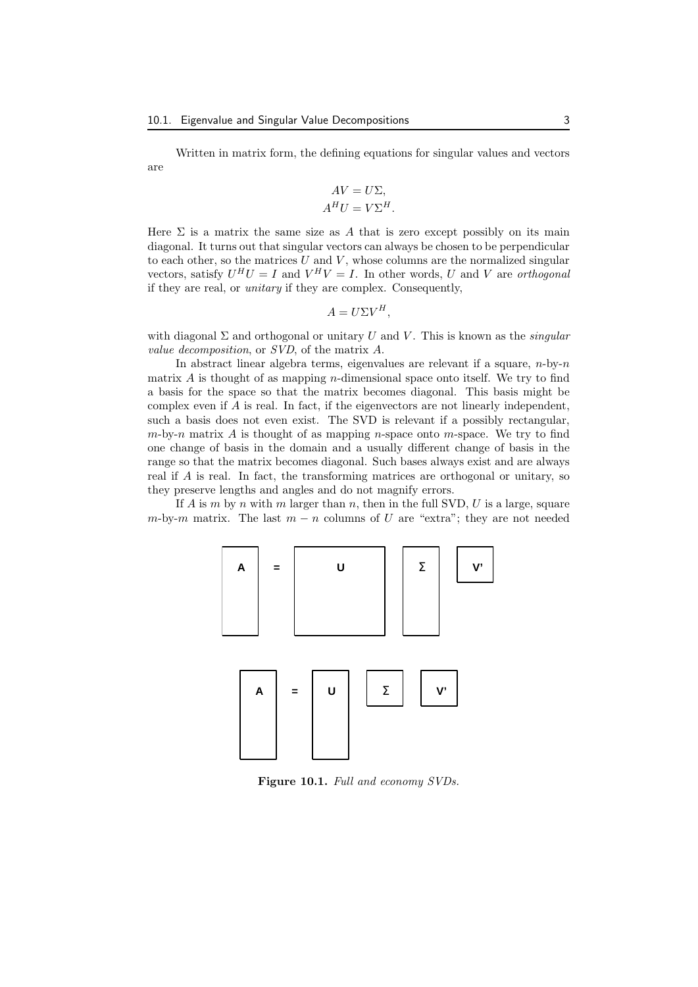Written in matrix form, the defining equations for singular values and vectors are

$$
AV = U\Sigma,
$$
  

$$
A^H U = V\Sigma^H.
$$

Here  $\Sigma$  is a matrix the same size as A that is zero except possibly on its main diagonal. It turns out that singular vectors can always be chosen to be perpendicular to each other, so the matrices *U* and *V* , whose columns are the normalized singular vectors, satisfy  $U^H U = I$  and  $V^H V = I$ . In other words, *U* and *V* are *orthogonal* if they are real, or *unitary* if they are complex. Consequently,

$$
A = U\Sigma V^H,
$$

with diagonal  $\Sigma$  and orthogonal or unitary *U* and *V*. This is known as the *singular value decomposition*, or *SVD*, of the matrix *A*.

In abstract linear algebra terms, eigenvalues are relevant if a square, *n*-by-*n* matrix *A* is thought of as mapping *n*-dimensional space onto itself. We try to find a basis for the space so that the matrix becomes diagonal. This basis might be complex even if *A* is real. In fact, if the eigenvectors are not linearly independent, such a basis does not even exist. The SVD is relevant if a possibly rectangular, *m*-by-*n* matrix *A* is thought of as mapping *n*-space onto *m*-space. We try to find one change of basis in the domain and a usually different change of basis in the range so that the matrix becomes diagonal. Such bases always exist and are always real if *A* is real. In fact, the transforming matrices are orthogonal or unitary, so they preserve lengths and angles and do not magnify errors.

If *A* is *m* by *n* with *m* larger than *n*, then in the full SVD, *U* is a large, square *m*-by-*m* matrix. The last  $m - n$  columns of *U* are "extra"; they are not needed



**Figure 10.1.** *Full and economy SVDs.*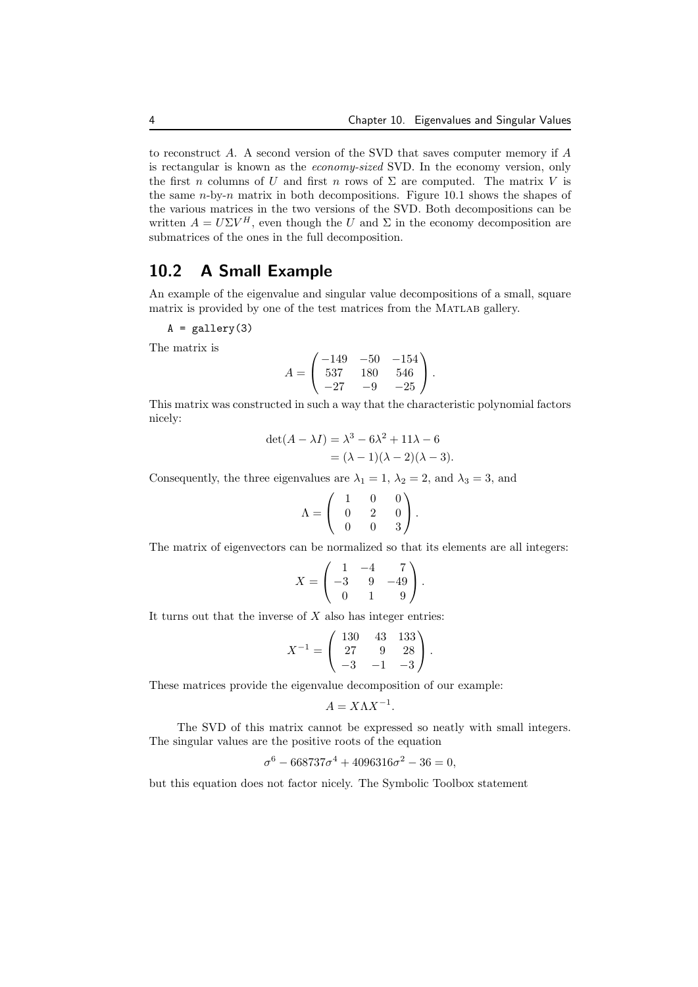to reconstruct *A*. A second version of the SVD that saves computer memory if *A* is rectangular is known as the *economy-sized* SVD. In the economy version, only the first *n* columns of *U* and first *n* rows of  $\Sigma$  are computed. The matrix *V* is the same *n*-by-*n* matrix in both decompositions. Figure 10.1 shows the shapes of the various matrices in the two versions of the SVD. Both decompositions can be written  $A = U\Sigma V^H$ , even though the *U* and  $\Sigma$  in the economy decomposition are submatrices of the ones in the full decomposition.

## **10.2 A Small Example**

An example of the eigenvalue and singular value decompositions of a small, square matrix is provided by one of the test matrices from the MATLAB gallery.

 $A =$  gallery(3)

The matrix is

$$
A = \begin{pmatrix} -149 & -50 & -154 \\ 537 & 180 & 546 \\ -27 & -9 & -25 \end{pmatrix}.
$$

This matrix was constructed in such a way that the characteristic polynomial factors nicely:

$$
det(A - \lambda I) = \lambda^3 - 6\lambda^2 + 11\lambda - 6
$$
  
=  $(\lambda - 1)(\lambda - 2)(\lambda - 3).$ 

Consequently, the three eigenvalues are  $\lambda_1 = 1$ ,  $\lambda_2 = 2$ , and  $\lambda_3 = 3$ , and

$$
\Lambda = \left( \begin{array}{ccc} 1 & 0 & 0 \\ 0 & 2 & 0 \\ 0 & 0 & 3 \end{array} \right).
$$

The matrix of eigenvectors can be normalized so that its elements are all integers:

$$
X = \begin{pmatrix} 1 & -4 & 7 \\ -3 & 9 & -49 \\ 0 & 1 & 9 \end{pmatrix}.
$$

It turns out that the inverse of *X* also has integer entries:

$$
X^{-1} = \begin{pmatrix} 130 & 43 & 133 \\ 27 & 9 & 28 \\ -3 & -1 & -3 \end{pmatrix}.
$$

These matrices provide the eigenvalue decomposition of our example:

$$
A = X\Lambda X^{-1}.
$$

The SVD of this matrix cannot be expressed so neatly with small integers. The singular values are the positive roots of the equation

$$
\sigma^6 - 668737\sigma^4 + 4096316\sigma^2 - 36 = 0,
$$

but this equation does not factor nicely. The Symbolic Toolbox statement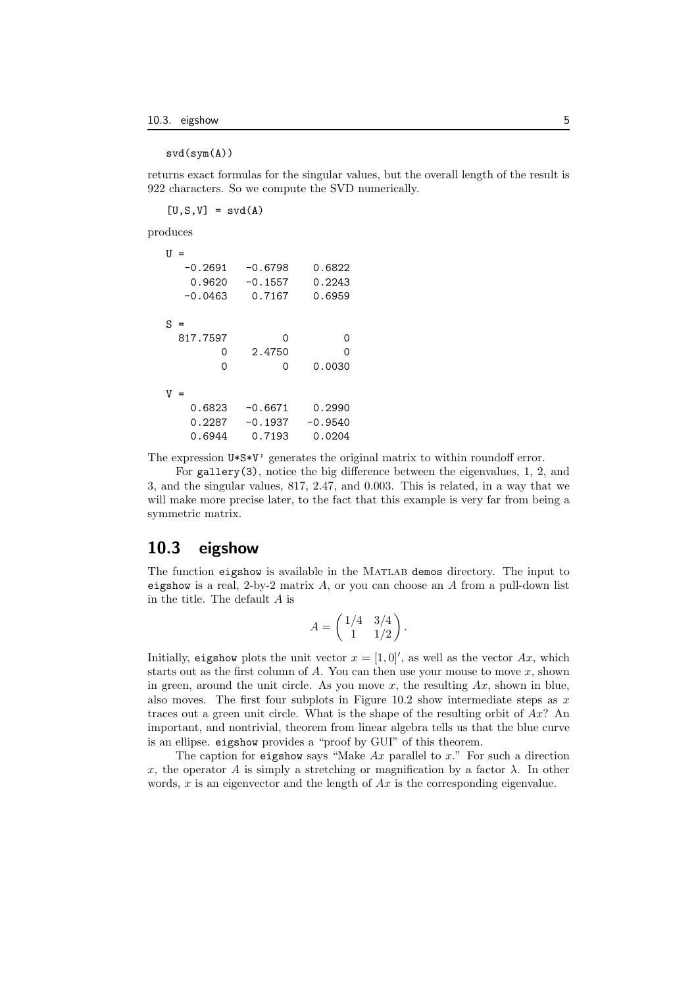#### $svd(sym(A))$

returns exact formulas for the singular values, but the overall length of the result is 922 characters. So we compute the SVD numerically.

 $[U, S, V] = svd(A)$ 

produces

| Н |           |           |           |
|---|-----------|-----------|-----------|
|   | $-0.2691$ | $-0.6798$ | 0.6822    |
|   | 0.9620    | $-0.1557$ | 0.2243    |
|   | $-0.0463$ | 0.7167    | 0.6959    |
| S |           |           |           |
|   | 817.7597  | Ω         |           |
|   | Ω         | 2.4750    | ∩         |
|   | ი         | ი         | 0.0030    |
| V |           |           |           |
|   | 0.6823    | $-0.6671$ | 0.2990    |
|   | 0.2287    | $-0.1937$ | $-0.9540$ |
|   | 0.6944    | 0.7193    | 0.0204    |

The expression  $\mathtt{U}\ast\mathtt{S}\ast\mathtt{V}$  generates the original matrix to within roundoff error.

For gallery(3), notice the big difference between the eigenvalues, 1, 2, and 3, and the singular values, 817, 2.47, and 0.003. This is related, in a way that we will make more precise later, to the fact that this example is very far from being a symmetric matrix.

### **10.3 eigshow**

The function eigshow is available in the Matlab demos directory. The input to eigshow is a real, 2-by-2 matrix *A*, or you can choose an *A* from a pull-down list in the title. The default *A* is

$$
A = \begin{pmatrix} 1/4 & 3/4 \\ 1 & 1/2 \end{pmatrix}.
$$

Initially, eigshow plots the unit vector  $x = [1, 0]^\prime$ , as well as the vector  $Ax$ , which starts out as the first column of *A*. You can then use your mouse to move *x*, shown in green, around the unit circle. As you move *x*, the resulting *Ax*, shown in blue, also moves. The first four subplots in Figure 10.2 show intermediate steps as *x* traces out a green unit circle. What is the shape of the resulting orbit of *Ax*? An important, and nontrivial, theorem from linear algebra tells us that the blue curve is an ellipse. eigshow provides a "proof by GUI" of this theorem.

The caption for eigshow says "Make *Ax* parallel to *x*." For such a direction *x*, the operator *A* is simply a stretching or magnification by a factor  $λ$ . In other words, *x* is an eigenvector and the length of *Ax* is the corresponding eigenvalue.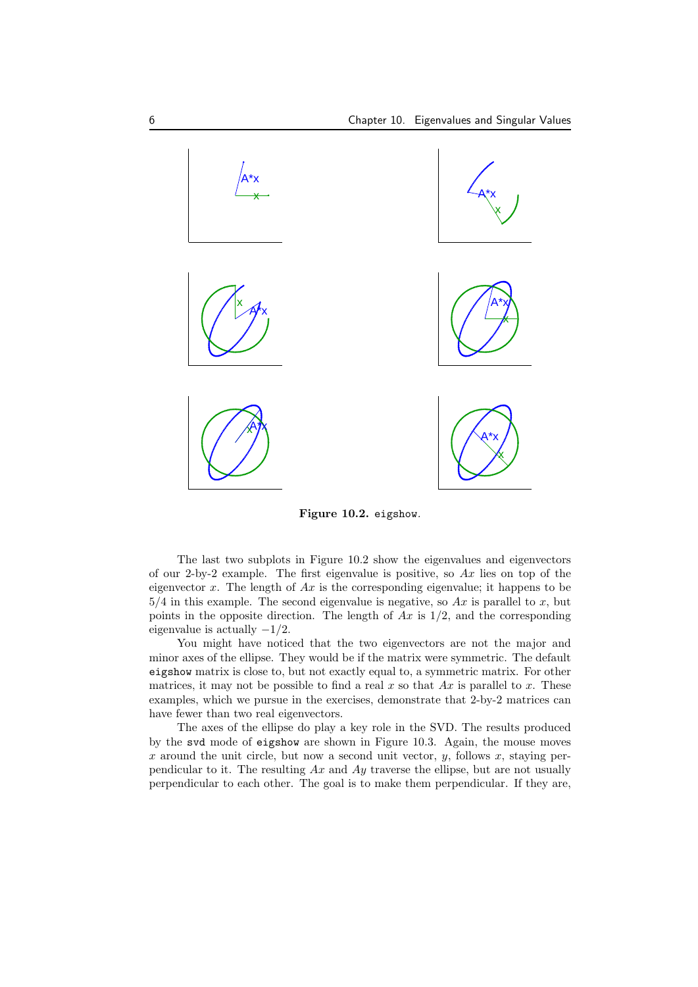

**Figure 10.2.** eigshow*.*

The last two subplots in Figure 10.2 show the eigenvalues and eigenvectors of our 2-by-2 example. The first eigenvalue is positive, so *Ax* lies on top of the eigenvector *x*. The length of *Ax* is the corresponding eigenvalue; it happens to be 5*/*4 in this example. The second eigenvalue is negative, so *Ax* is parallel to *x*, but points in the opposite direction. The length of *Ax* is 1/2, and the corresponding eigenvalue is actually *−*1*/*2.

You might have noticed that the two eigenvectors are not the major and minor axes of the ellipse. They would be if the matrix were symmetric. The default eigshow matrix is close to, but not exactly equal to, a symmetric matrix. For other matrices, it may not be possible to find a real *x* so that *Ax* is parallel to *x*. These examples, which we pursue in the exercises, demonstrate that 2-by-2 matrices can have fewer than two real eigenvectors.

The axes of the ellipse do play a key role in the SVD. The results produced by the svd mode of eigshow are shown in Figure 10.3. Again, the mouse moves *x* around the unit circle, but now a second unit vector, *y*, follows *x*, staying perpendicular to it. The resulting *Ax* and *Ay* traverse the ellipse, but are not usually perpendicular to each other. The goal is to make them perpendicular. If they are,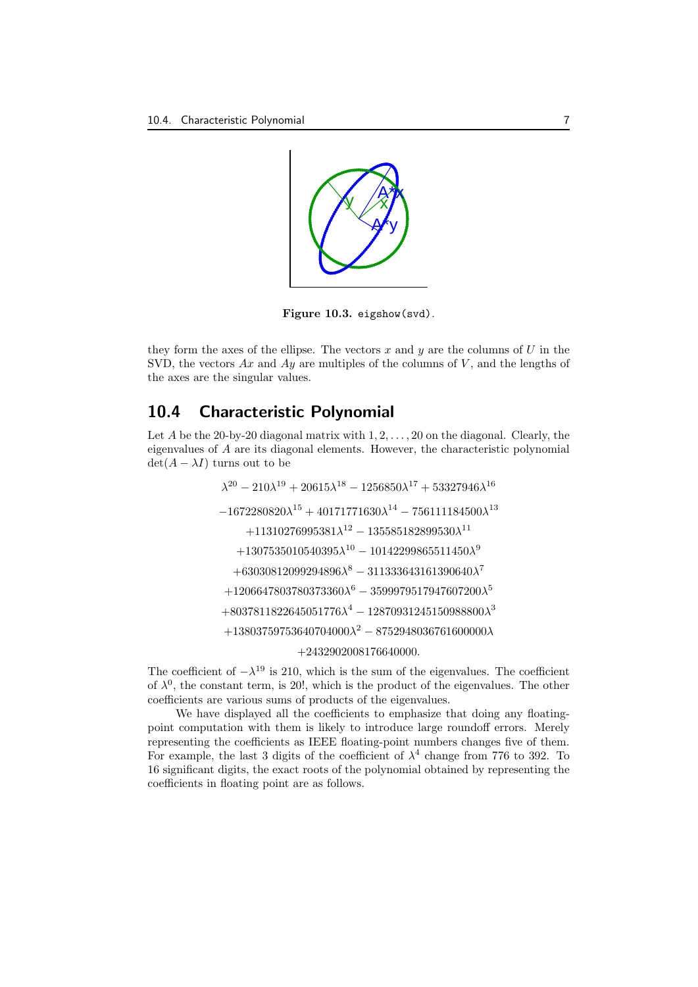

**Figure 10.3.** eigshow(svd)*.*

they form the axes of the ellipse. The vectors  $x$  and  $y$  are the columns of  $U$  in the SVD, the vectors *Ax* and *Ay* are multiples of the columns of *V* , and the lengths of the axes are the singular values.

#### **10.4 Characteristic Polynomial**

Let *A* be the 20-by-20 diagonal matrix with 1*,* 2*, . . . ,* 20 on the diagonal. Clearly, the eigenvalues of *A* are its diagonal elements. However, the characteristic polynomial  $\det(A - \lambda I)$  turns out to be

> $λ<sup>20</sup> − 210λ<sup>19</sup> + 20615λ<sup>18</sup> − 1256850λ<sup>17</sup> + 53327946λ<sup>16</sup>$  $-1672280820\lambda^{15} + 40171771630\lambda^{14} - 756111184500\lambda^{13}$ +11310276995381*λ* <sup>12</sup> *<sup>−</sup>* <sup>135585182899530</sup>*<sup>λ</sup>* 11 +1307535010540395*λ* <sup>10</sup> *<sup>−</sup>* <sup>10142299865511450</sup>*<sup>λ</sup>* 9 +63030812099294896*λ* <sup>8</sup> *<sup>−</sup>* <sup>311333643161390640</sup>*<sup>λ</sup>* 7 +1206647803780373360*λ* <sup>6</sup> *<sup>−</sup>* <sup>3599979517947607200</sup>*<sup>λ</sup>* 5 +8037811822645051776*λ* <sup>4</sup> *<sup>−</sup>* <sup>12870931245150988800</sup>*<sup>λ</sup>* 3 +13803759753640704000*λ* <sup>2</sup> *<sup>−</sup>* <sup>8752948036761600000</sup>*<sup>λ</sup>* +2432902008176640000*.*

The coefficient of  $-\lambda^{19}$  is 210, which is the sum of the eigenvalues. The coefficient of  $\lambda^0$ , the constant term, is 20!, which is the product of the eigenvalues. The other coefficients are various sums of products of the eigenvalues.

We have displayed all the coefficients to emphasize that doing any floatingpoint computation with them is likely to introduce large roundoff errors. Merely representing the coefficients as IEEE floating-point numbers changes five of them. For example, the last 3 digits of the coefficient of  $\lambda^4$  change from 776 to 392. To 16 significant digits, the exact roots of the polynomial obtained by representing the coefficients in floating point are as follows.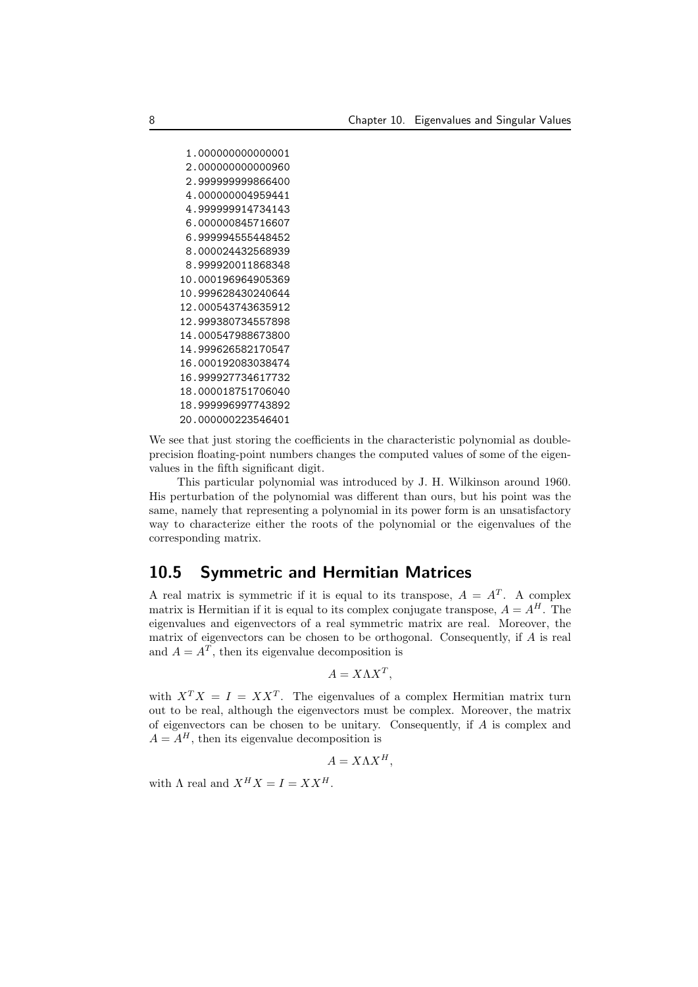```
1.000000000000001
 2.000000000000960
 2.999999999866400
 4.000000004959441
 4.999999914734143
 6.000000845716607
 6.999994555448452
 8.000024432568939
 8.999920011868348
10.000196964905369
10.999628430240644
12.000543743635912
12.999380734557898
14.000547988673800
14.999626582170547
16.000192083038474
16.999927734617732
18.000018751706040
18.999996997743892
20.000000223546401
```
We see that just storing the coefficients in the characteristic polynomial as doubleprecision floating-point numbers changes the computed values of some of the eigenvalues in the fifth significant digit.

This particular polynomial was introduced by J. H. Wilkinson around 1960. His perturbation of the polynomial was different than ours, but his point was the same, namely that representing a polynomial in its power form is an unsatisfactory way to characterize either the roots of the polynomial or the eigenvalues of the corresponding matrix.

# **10.5 Symmetric and Hermitian Matrices**

A real matrix is symmetric if it is equal to its transpose,  $A = A<sup>T</sup>$ . A complex matrix is Hermitian if it is equal to its complex conjugate transpose,  $A = A<sup>H</sup>$ . The eigenvalues and eigenvectors of a real symmetric matrix are real. Moreover, the matrix of eigenvectors can be chosen to be orthogonal. Consequently, if *A* is real and  $A = A<sup>T</sup>$ , then its eigenvalue decomposition is

$$
A = X \Lambda X^T,
$$

with  $X^T X = I = X X^T$ . The eigenvalues of a complex Hermitian matrix turn out to be real, although the eigenvectors must be complex. Moreover, the matrix of eigenvectors can be chosen to be unitary. Consequently, if *A* is complex and  $A = A^H$ , then its eigenvalue decomposition is

 $A = X \Lambda X^H$ ,

with  $\Lambda$  real and  $X^H X = I = X X^H$ .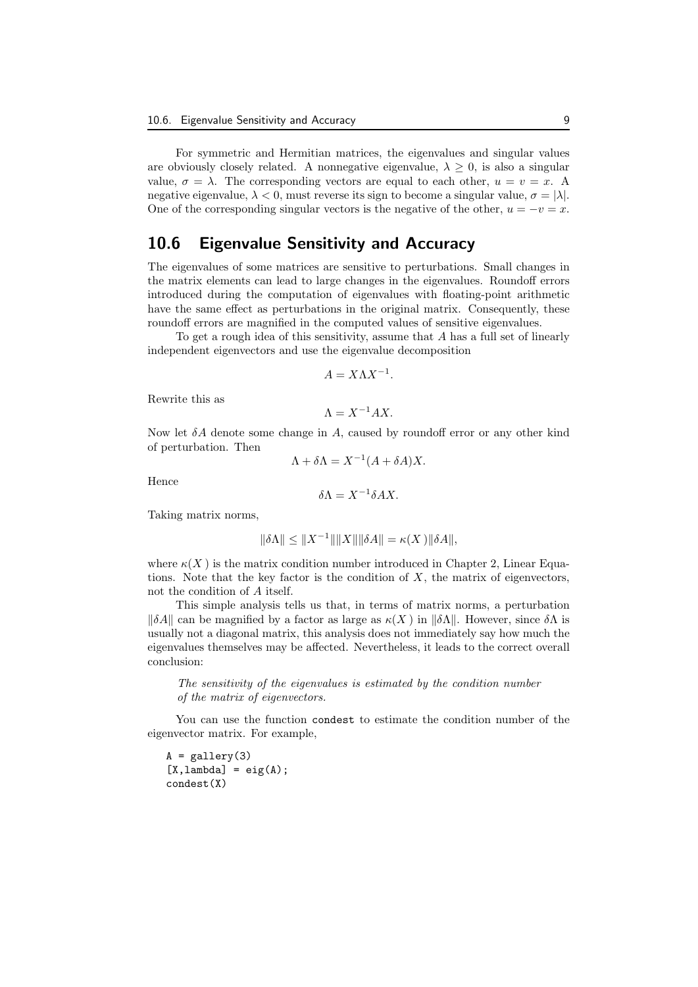For symmetric and Hermitian matrices, the eigenvalues and singular values are obviously closely related. A nonnegative eigenvalue,  $\lambda \geq 0$ , is also a singular value,  $\sigma = \lambda$ . The corresponding vectors are equal to each other,  $u = v = x$ . A negative eigenvalue,  $\lambda < 0$ , must reverse its sign to become a singular value,  $\sigma = |\lambda|$ . One of the corresponding singular vectors is the negative of the other,  $u = -v = x$ .

### **10.6 Eigenvalue Sensitivity and Accuracy**

The eigenvalues of some matrices are sensitive to perturbations. Small changes in the matrix elements can lead to large changes in the eigenvalues. Roundoff errors introduced during the computation of eigenvalues with floating-point arithmetic have the same effect as perturbations in the original matrix. Consequently, these roundoff errors are magnified in the computed values of sensitive eigenvalues.

To get a rough idea of this sensitivity, assume that *A* has a full set of linearly independent eigenvectors and use the eigenvalue decomposition

$$
A = X\Lambda X^{-1}.
$$

Rewrite this as

$$
\Lambda = X^{-1}AX.
$$

Now let *δA* denote some change in *A*, caused by roundoff error or any other kind of perturbation. Then

$$
\Lambda + \delta \Lambda = X^{-1} (A + \delta A) X.
$$

Hence

$$
\delta \Lambda = X^{-1} \delta A X.
$$

Taking matrix norms,

$$
\|\delta\Lambda\| \le \|X^{-1}\| \|X\| \|\delta A\| = \kappa(X) \|\delta A\|,
$$

where  $\kappa(X)$  is the matrix condition number introduced in Chapter 2, Linear Equations. Note that the key factor is the condition of *X*, the matrix of eigenvectors, not the condition of *A* itself.

This simple analysis tells us that, in terms of matrix norms, a perturbation *∣δA∥* can be magnified by a factor as large as *κ*(*X*) in  $\|\delta\Lambda\|$ . However, since *δ*Λ is usually not a diagonal matrix, this analysis does not immediately say how much the eigenvalues themselves may be affected. Nevertheless, it leads to the correct overall conclusion:

*The sensitivity of the eigenvalues is estimated by the condition number of the matrix of eigenvectors.*

You can use the function condest to estimate the condition number of the eigenvector matrix. For example,

 $A =$  gallery(3)  $[X, \text{lambda}] = \text{eig}(A)$ ; condest(X)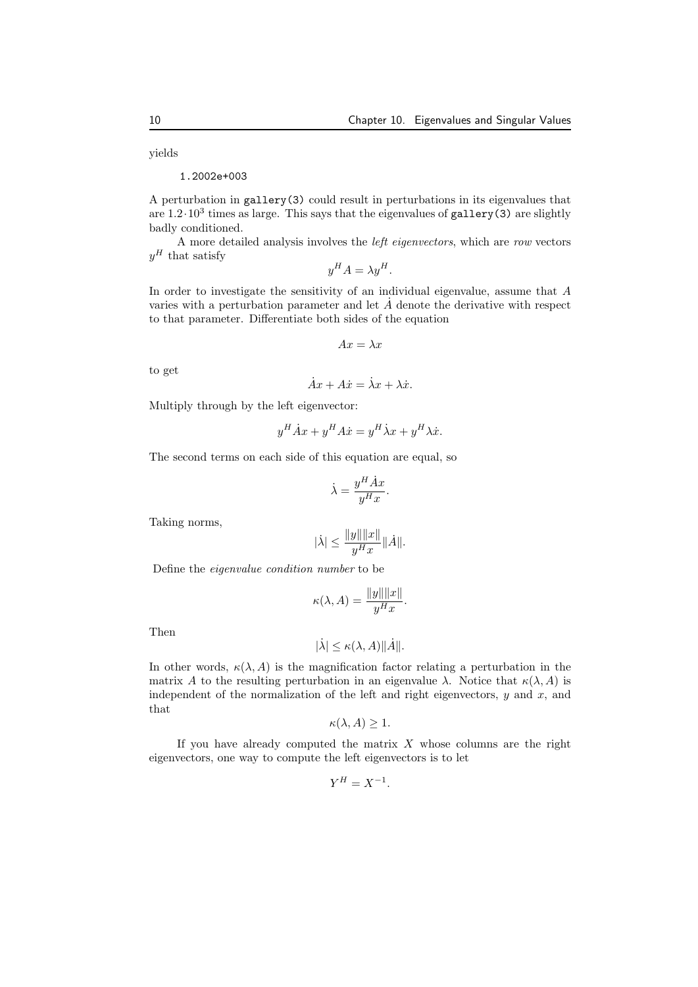yields

#### 1.2002e+003

A perturbation in gallery(3) could result in perturbations in its eigenvalues that are  $1.2 \cdot 10^3$  times as large. This says that the eigenvalues of gallery(3) are slightly badly conditioned.

A more detailed analysis involves the *left eigenvectors*, which are *row* vectors  $y^H$  that satisfy

$$
y^H A = \lambda y^H.
$$

In order to investigate the sensitivity of an individual eigenvalue, assume that *A* varies with a perturbation parameter and let  $\vec{A}$  denote the derivative with respect to that parameter. Differentiate both sides of the equation

 $Ax = \lambda x$ 

to get

$$
\dot{A}x + A\dot{x} = \dot{\lambda}x + \lambda\dot{x}.
$$

Multiply through by the left eigenvector:

$$
y^H \dot{A} x + y^H A \dot{x} = y^H \dot{\lambda} x + y^H \lambda \dot{x}.
$$

The second terms on each side of this equation are equal, so

$$
\dot{\lambda} = \frac{y^H \dot{A} x}{y^H x}.
$$

Taking norms,

$$
|\dot{\lambda}| \le \frac{\|y\| \|x\|}{y^H x} \|\dot{A}\|.
$$

Define the *eigenvalue condition number* to be

$$
\kappa(\lambda, A) = \frac{\|y\| \|x\|}{y^H x}.
$$

Then

$$
|\dot{\lambda}| \le \kappa(\lambda, A) ||\dot{A}||.
$$

In other words,  $\kappa(\lambda, A)$  is the magnification factor relating a perturbation in the matrix *A* to the resulting perturbation in an eigenvalue  $\lambda$ . Notice that  $\kappa(\lambda, A)$  is independent of the normalization of the left and right eigenvectors, *y* and *x*, and that

$$
\kappa(\lambda, A) \ge 1.
$$

If you have already computed the matrix *X* whose columns are the right eigenvectors, one way to compute the left eigenvectors is to let

$$
Y^H = X^{-1}.
$$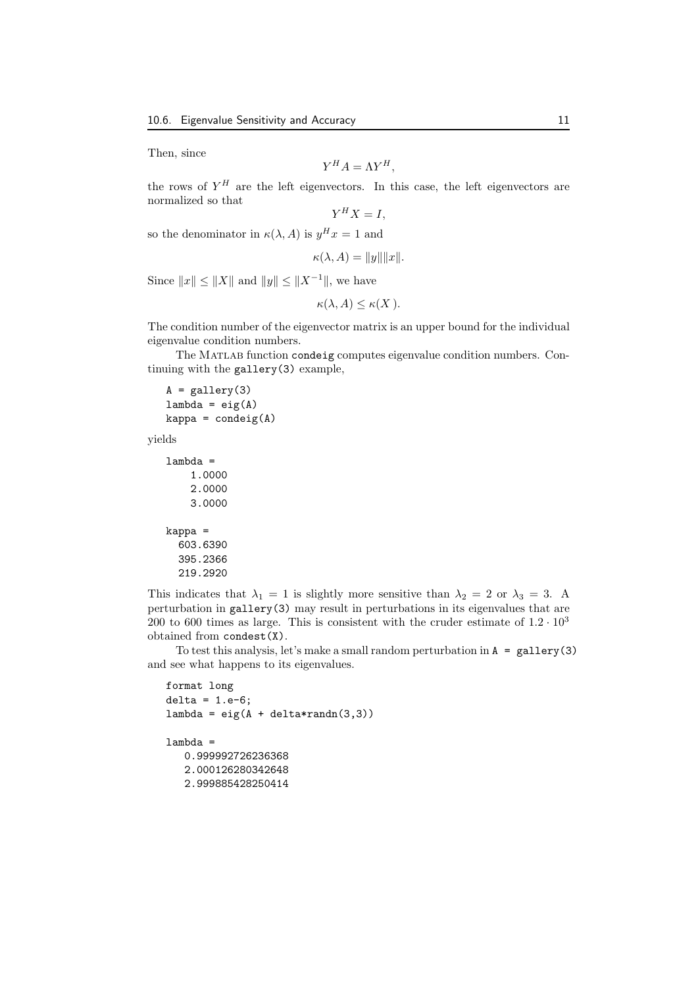Then, since

$$
Y^H A = \Lambda Y^H,
$$

the rows of  $Y^H$  are the left eigenvectors. In this case, the left eigenvectors are normalized so that

$$
Y^H X = I,
$$

so the denominator in  $\kappa(\lambda, A)$  is  $y^H x = 1$  and

$$
\kappa(\lambda, A) = ||y|| ||x||.
$$

Since  $||x|| \le ||X||$  and  $||y|| \le ||X^{-1}||$ , we have

$$
\kappa(\lambda, A) \le \kappa(X).
$$

The condition number of the eigenvector matrix is an upper bound for the individual eigenvalue condition numbers.

The MATLAB function condeig computes eigenvalue condition numbers. Continuing with the gallery(3) example,

```
A = gallery(3)lambda = eig(A)kappa = condeig(A)
```
yields

```
lambda =
    1.0000
    2.0000
    3.0000
kappa =
  603.6390
  395.2366
  219.2920
```
This indicates that  $\lambda_1 = 1$  is slightly more sensitive than  $\lambda_2 = 2$  or  $\lambda_3 = 3$ . A perturbation in gallery(3) may result in perturbations in its eigenvalues that are 200 to 600 times as large. This is consistent with the cruder estimate of  $1.2 \cdot 10^3$ obtained from condest(X).

To test this analysis, let's make a small random perturbation in  $A = \text{galley}(3)$ and see what happens to its eigenvalues.

```
format long
delta = 1.e-6;lambda = eig(A + delta*randn(3,3))lambda =
  0.999992726236368
   2.000126280342648
   2.999885428250414
```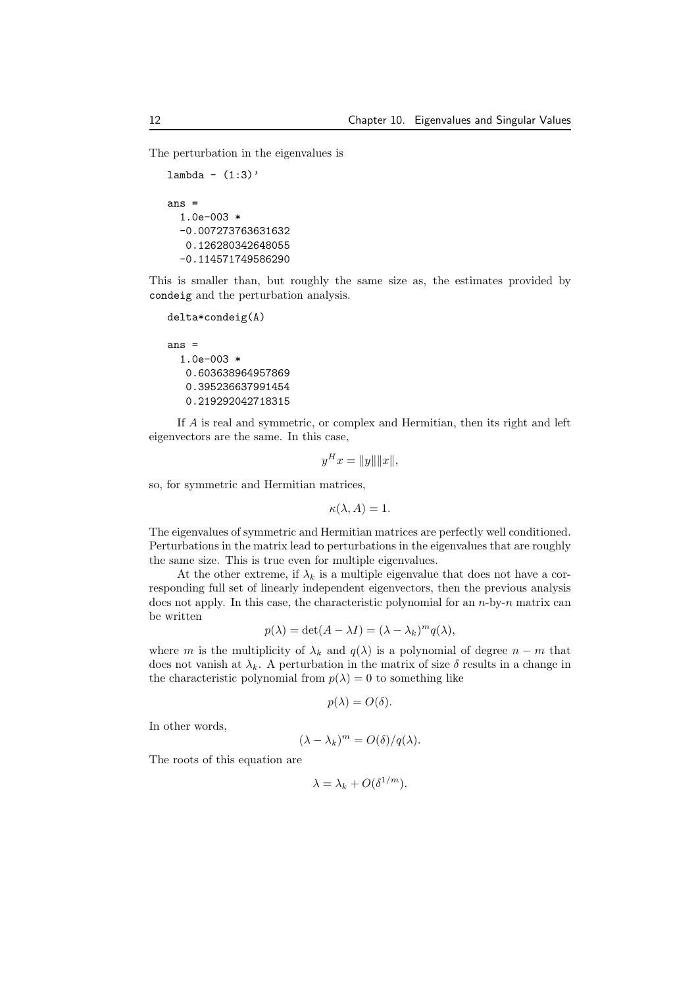The perturbation in the eigenvalues is

```
lambda - (1:3)'ans =
  1.0e-003 *
  -0.007273763631632
  0.126280342648055
  -0.114571749586290
```
This is smaller than, but roughly the same size as, the estimates provided by condeig and the perturbation analysis.

```
ans =
  1.0e-003 *
   0.603638964957869
   0.395236637991454
   0.219292042718315
```
delta\*condeig(A)

If *A* is real and symmetric, or complex and Hermitian, then its right and left eigenvectors are the same. In this case,

$$
y^H x = ||y|| ||x||,
$$

so, for symmetric and Hermitian matrices,

 $\kappa(\lambda, A) = 1$ .

The eigenvalues of symmetric and Hermitian matrices are perfectly well conditioned. Perturbations in the matrix lead to perturbations in the eigenvalues that are roughly the same size. This is true even for multiple eigenvalues.

At the other extreme, if  $\lambda_k$  is a multiple eigenvalue that does not have a corresponding full set of linearly independent eigenvectors, then the previous analysis does not apply. In this case, the characteristic polynomial for an *n*-by-*n* matrix can be written

$$
p(\lambda) = \det(A - \lambda I) = (\lambda - \lambda_k)^m q(\lambda),
$$

where *m* is the multiplicity of  $\lambda_k$  and  $q(\lambda)$  is a polynomial of degree  $n - m$  that does not vanish at  $\lambda_k$ . A perturbation in the matrix of size  $\delta$  results in a change in the characteristic polynomial from  $p(\lambda) = 0$  to something like

$$
p(\lambda)=O(\delta).
$$

In other words,

$$
(\lambda - \lambda_k)^m = O(\delta)/q(\lambda).
$$

The roots of this equation are

$$
\lambda = \lambda_k + O(\delta^{1/m}).
$$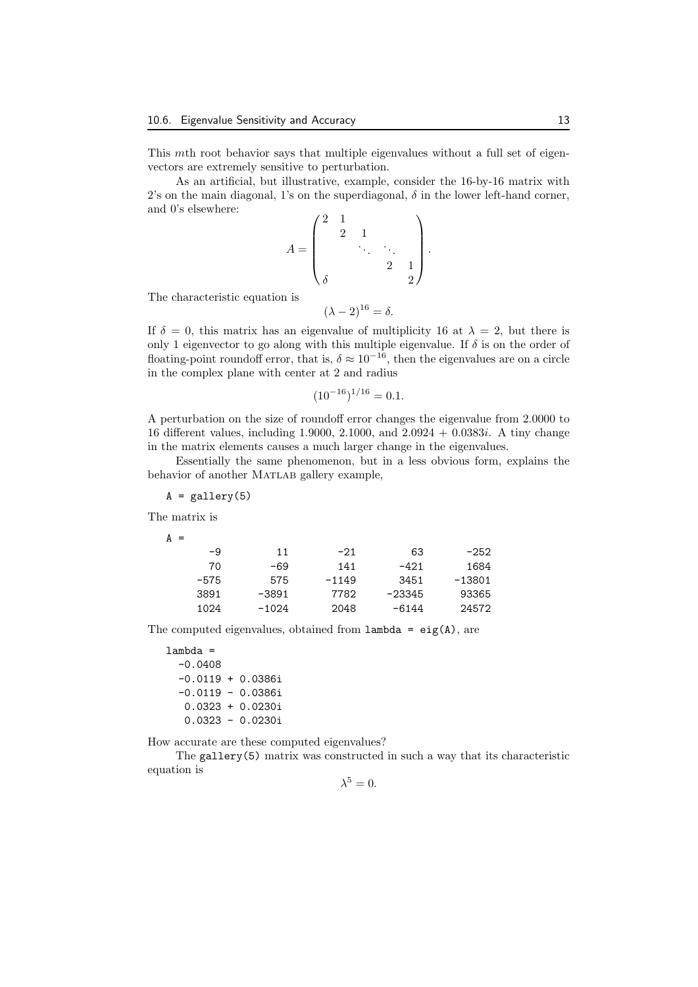This *mth* root behavior says that multiple eigenvalues without a full set of eigenvectors are extremely sensitive to perturbation.

As an artificial, but illustrative, example, consider the 16-by-16 matrix with 2's on the main diagonal, 1's on the superdiagonal,  $\delta$  in the lower left-hand corner, and 0's elsewhere:

$$
A = \begin{pmatrix} 2 & 1 & & & \\ & 2 & 1 & & \\ & & \ddots & \ddots & \\ & & & 2 & 1 \\ \delta & & & & 2 \end{pmatrix}.
$$

The characteristic equation is

$$
(\lambda - 2)^{16} = \delta.
$$

If  $\delta = 0$ , this matrix has an eigenvalue of multiplicity 16 at  $\lambda = 2$ , but there is only 1 eigenvector to go along with this multiple eigenvalue. If  $\delta$  is on the order of floating-point roundoff error, that is,  $\delta \approx 10^{-16}$ , then the eigenvalues are on a circle in the complex plane with center at 2 and radius

$$
(10^{-16})^{1/16} = 0.1.
$$

A perturbation on the size of roundoff error changes the eigenvalue from 2.0000 to 16 different values, including 1.9000, 2.1000, and 2.0924 + 0.0383*i*. A tiny change in the matrix elements causes a much larger change in the eigenvalues.

Essentially the same phenomenon, but in a less obvious form, explains the behavior of another MATLAB gallery example,

 $A =$  gallery(5)

The matrix is

 $A =$ 

| -9   | 11      | $-21$   | 63       | $-252$   |
|------|---------|---------|----------|----------|
| 70   | -69     | 141     | $-421$   | 1684     |
| -575 | 575     | $-1149$ | 3451     | $-13801$ |
| 3891 | -3891   | 7782    | $-23345$ | 93365    |
| 1024 | $-1024$ | 2048    | -6144    | 24572    |

The computed eigenvalues, obtained from  $lambda = eig(A)$ , are

lambda = -0.0408 -0.0119 + 0.0386i  $-0.0119 - 0.0386i$ 0.0323 + 0.0230i 0.0323 - 0.0230i

How accurate are these computed eigenvalues?

The gallery(5) matrix was constructed in such a way that its characteristic equation is

 $\lambda^5 = 0$ .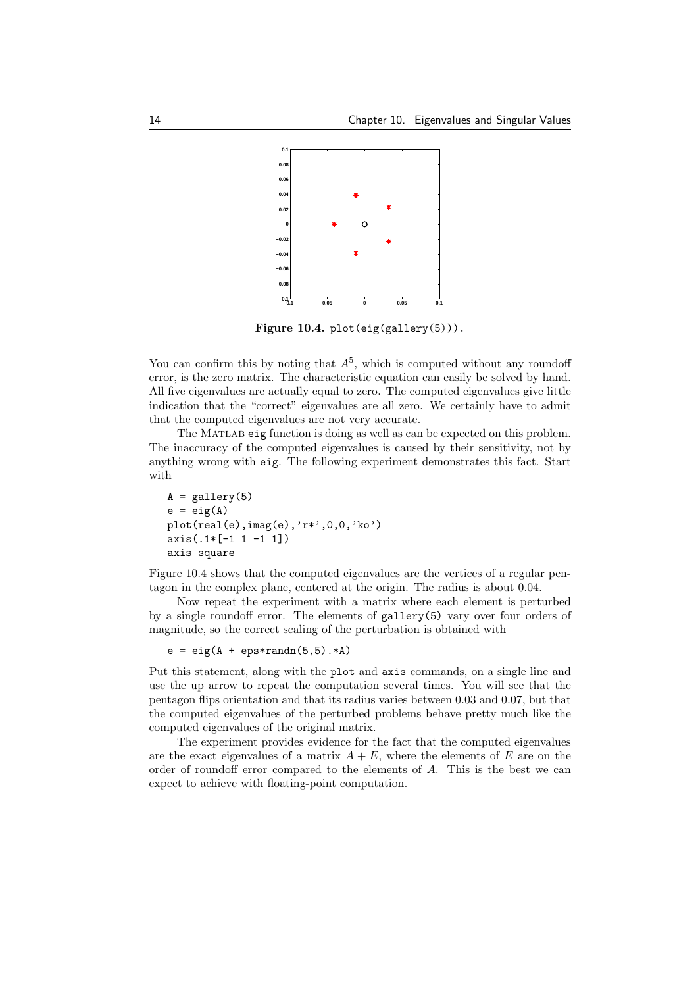

Figure 10.4. plot(eig(gallery(5))).

You can confirm this by noting that  $A<sup>5</sup>$ , which is computed without any roundoff error, is the zero matrix. The characteristic equation can easily be solved by hand. All five eigenvalues are actually equal to zero. The computed eigenvalues give little indication that the "correct" eigenvalues are all zero. We certainly have to admit that the computed eigenvalues are not very accurate.

The MATLAB eig function is doing as well as can be expected on this problem. The inaccuracy of the computed eigenvalues is caused by their sensitivity, not by anything wrong with eig. The following experiment demonstrates this fact. Start with

```
A = gallery(5)
e = eig(A)plot(real(e),imag(e),'r*',0,0,'ko')
axis(.1*[-1 1 -1 1])axis square
```
Figure 10.4 shows that the computed eigenvalues are the vertices of a regular pentagon in the complex plane, centered at the origin. The radius is about 0.04.

Now repeat the experiment with a matrix where each element is perturbed by a single roundoff error. The elements of gallery(5) vary over four orders of magnitude, so the correct scaling of the perturbation is obtained with

 $e = eig(A + eps*randn(5,5).*A)$ 

Put this statement, along with the plot and axis commands, on a single line and use the up arrow to repeat the computation several times. You will see that the pentagon flips orientation and that its radius varies between 0.03 and 0.07, but that the computed eigenvalues of the perturbed problems behave pretty much like the computed eigenvalues of the original matrix.

The experiment provides evidence for the fact that the computed eigenvalues are the exact eigenvalues of a matrix  $A + E$ , where the elements of  $E$  are on the order of roundoff error compared to the elements of *A*. This is the best we can expect to achieve with floating-point computation.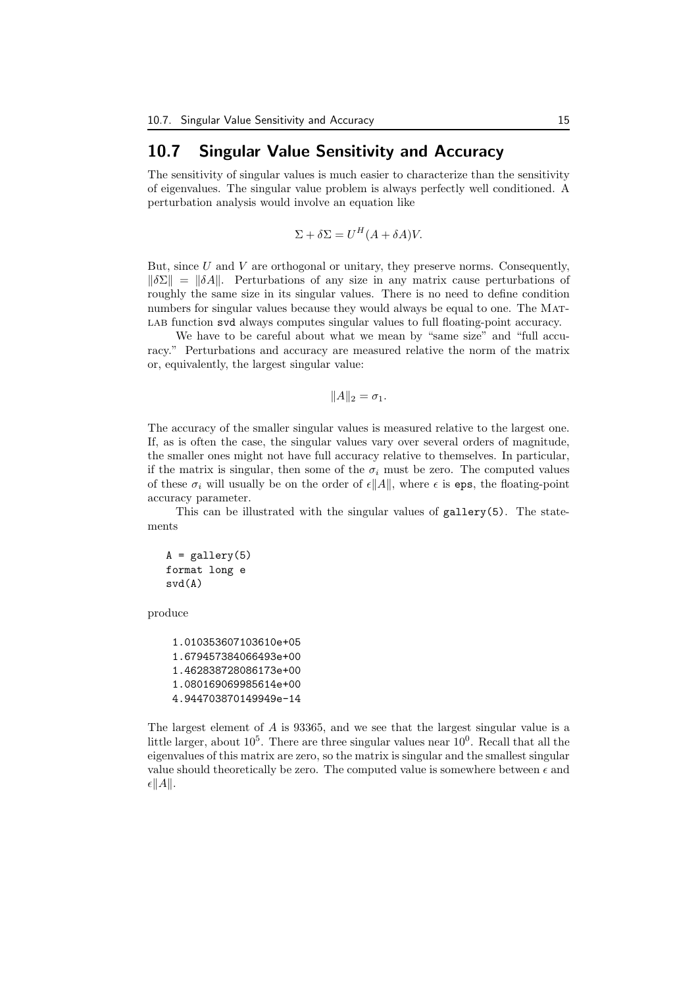# **10.7 Singular Value Sensitivity and Accuracy**

The sensitivity of singular values is much easier to characterize than the sensitivity of eigenvalues. The singular value problem is always perfectly well conditioned. A perturbation analysis would involve an equation like

$$
\Sigma + \delta \Sigma = U^H (A + \delta A) V.
$$

But, since *U* and *V* are orthogonal or unitary, they preserve norms. Consequently, *∥δ*Σ*∥* = *∥δA∥*. Perturbations of any size in any matrix cause perturbations of roughly the same size in its singular values. There is no need to define condition numbers for singular values because they would always be equal to one. The Mat-LAB function svd always computes singular values to full floating-point accuracy.

We have to be careful about what we mean by "same size" and "full accuracy." Perturbations and accuracy are measured relative the norm of the matrix or, equivalently, the largest singular value:

$$
||A||_2 = \sigma_1.
$$

The accuracy of the smaller singular values is measured relative to the largest one. If, as is often the case, the singular values vary over several orders of magnitude, the smaller ones might not have full accuracy relative to themselves. In particular, if the matrix is singular, then some of the  $\sigma_i$  must be zero. The computed values of these  $\sigma_i$  will usually be on the order of  $\epsilon$ <sub>*||A||*, where  $\epsilon$  is eps, the floating-point</sub> accuracy parameter.

This can be illustrated with the singular values of gallery(5). The statements

 $A =$  gallery(5) format long e svd(A)

produce

1.010353607103610e+05 1.679457384066493e+00 1.462838728086173e+00 1.080169069985614e+00 4.944703870149949e-14

The largest element of *A* is 93365, and we see that the largest singular value is a little larger, about  $10^5$ . There are three singular values near  $10^0$ . Recall that all the eigenvalues of this matrix are zero, so the matrix is singular and the smallest singular value should theoretically be zero. The computed value is somewhere between  $\epsilon$  and *ϵ∥A∥*.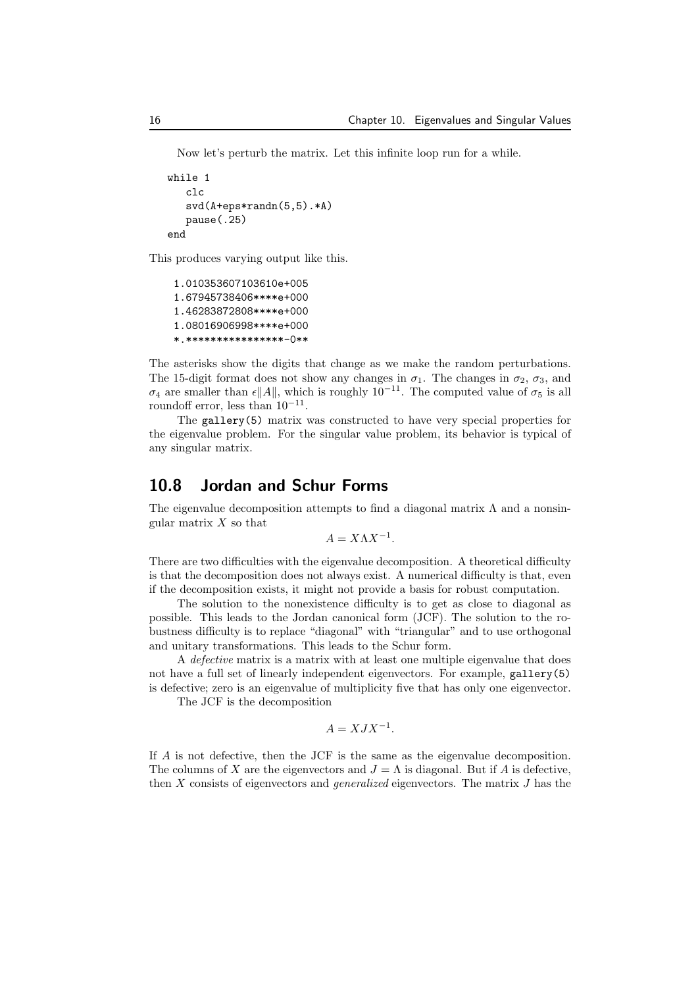Now let's perturb the matrix. Let this infinite loop run for a while.

```
while 1
   clc
   svd(A+eps*randn(5,5).*A)
   pause(.25)
end
```
This produces varying output like this.

```
1.010353607103610e+005
1.67945738406****e+000
1.46283872808****e+000
1.08016906998****e+000
*.****************-0**
```
The asterisks show the digits that change as we make the random perturbations. The 15-digit format does not show any changes in  $\sigma_1$ . The changes in  $\sigma_2$ ,  $\sigma_3$ , and  $\sigma_4$  are smaller than  $\epsilon$ <sub>*||A||*, which is roughly 10<sup>−11</sup>. The computed value of  $\sigma_5$  is all</sub> roundoff error, less than 10*−*<sup>11</sup> .

The gallery(5) matrix was constructed to have very special properties for the eigenvalue problem. For the singular value problem, its behavior is typical of any singular matrix.

#### **10.8 Jordan and Schur Forms**

The eigenvalue decomposition attempts to find a diagonal matrix  $\Lambda$  and a nonsingular matrix *X* so that

 $A = X \Lambda X^{-1}$ .

There are two difficulties with the eigenvalue decomposition. A theoretical difficulty is that the decomposition does not always exist. A numerical difficulty is that, even if the decomposition exists, it might not provide a basis for robust computation.

The solution to the nonexistence difficulty is to get as close to diagonal as possible. This leads to the Jordan canonical form (JCF). The solution to the robustness difficulty is to replace "diagonal" with "triangular" and to use orthogonal and unitary transformations. This leads to the Schur form.

A *defective* matrix is a matrix with at least one multiple eigenvalue that does not have a full set of linearly independent eigenvectors. For example, gallery(5) is defective; zero is an eigenvalue of multiplicity five that has only one eigenvector.

The JCF is the decomposition

$$
A = XJX^{-1}.
$$

If *A* is not defective, then the JCF is the same as the eigenvalue decomposition. The columns of *X* are the eigenvectors and  $J = \Lambda$  is diagonal. But if *A* is defective, then *X* consists of eigenvectors and *generalized* eigenvectors. The matrix *J* has the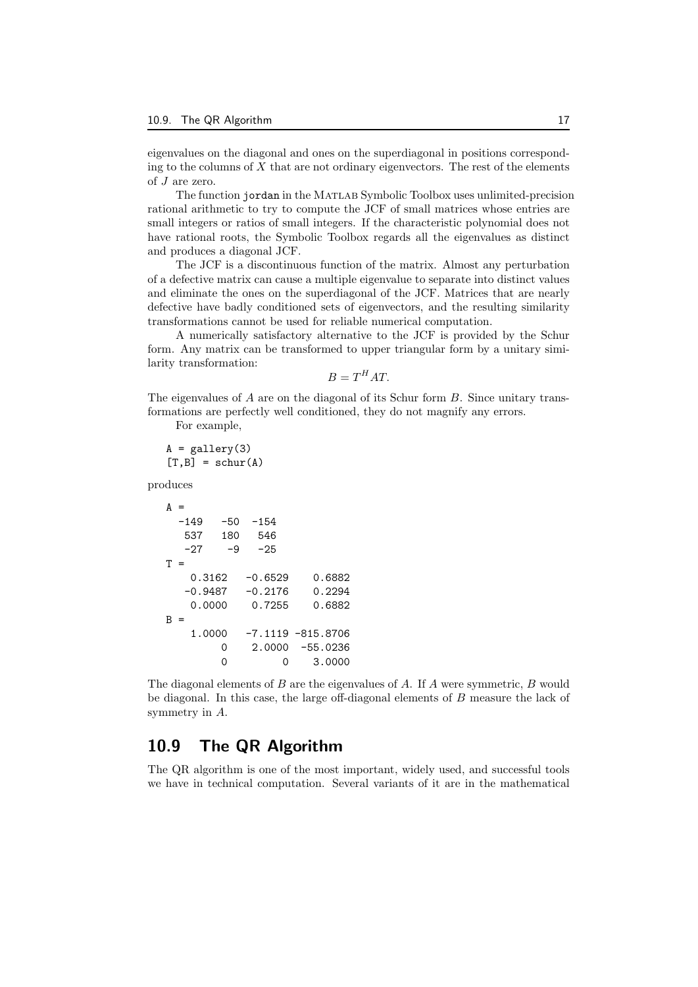eigenvalues on the diagonal and ones on the superdiagonal in positions corresponding to the columns of *X* that are not ordinary eigenvectors. The rest of the elements of *J* are zero.

The function jordan in the Matlab Symbolic Toolbox uses unlimited-precision rational arithmetic to try to compute the JCF of small matrices whose entries are small integers or ratios of small integers. If the characteristic polynomial does not have rational roots, the Symbolic Toolbox regards all the eigenvalues as distinct and produces a diagonal JCF.

The JCF is a discontinuous function of the matrix. Almost any perturbation of a defective matrix can cause a multiple eigenvalue to separate into distinct values and eliminate the ones on the superdiagonal of the JCF. Matrices that are nearly defective have badly conditioned sets of eigenvectors, and the resulting similarity transformations cannot be used for reliable numerical computation.

A numerically satisfactory alternative to the JCF is provided by the Schur form. Any matrix can be transformed to upper triangular form by a unitary similarity transformation:

$$
B=T^HAT.
$$

The eigenvalues of *A* are on the diagonal of its Schur form *B*. Since unitary transformations are perfectly well conditioned, they do not magnify any errors.

For example,

$$
A = \text{gallery}(3)
$$

$$
[T,B] = \text{schur}(A)
$$

produces

```
A =-149 -50 -154537 180 546
  -27 -9 -25T =0.3162 -0.6529 0.6882
  -0.9487 -0.2176 0.2294
   0.0000 0.7255 0.6882
B =1.0000 -7.1119 -815.8706
       0 2.0000 -55.0236
       0 0 3.0000
```
The diagonal elements of *B* are the eigenvalues of *A*. If *A* were symmetric, *B* would be diagonal. In this case, the large off-diagonal elements of *B* measure the lack of symmetry in *A*.

## **10.9 The QR Algorithm**

The QR algorithm is one of the most important, widely used, and successful tools we have in technical computation. Several variants of it are in the mathematical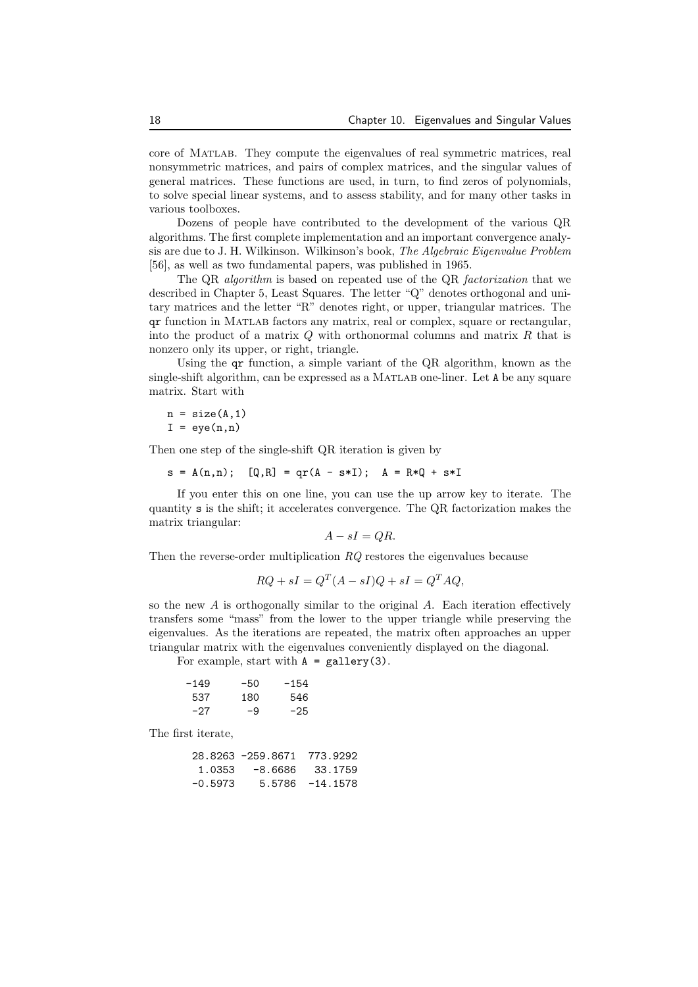core of Matlab. They compute the eigenvalues of real symmetric matrices, real nonsymmetric matrices, and pairs of complex matrices, and the singular values of general matrices. These functions are used, in turn, to find zeros of polynomials, to solve special linear systems, and to assess stability, and for many other tasks in various toolboxes.

Dozens of people have contributed to the development of the various QR algorithms. The first complete implementation and an important convergence analysis are due to J. H. Wilkinson. Wilkinson's book, *The Algebraic Eigenvalue Problem* [56], as well as two fundamental papers, was published in 1965.

The QR *algorithm* is based on repeated use of the QR *factorization* that we described in Chapter 5, Least Squares. The letter "Q" denotes orthogonal and unitary matrices and the letter "R" denotes right, or upper, triangular matrices. The qr function in Matlab factors any matrix, real or complex, square or rectangular, into the product of a matrix *Q* with orthonormal columns and matrix *R* that is nonzero only its upper, or right, triangle.

Using the qr function, a simple variant of the QR algorithm, known as the single-shift algorithm, can be expressed as a MATLAB one-liner. Let A be any square matrix. Start with

 $n = size(A, 1)$  $I = eye(n,n)$ 

Then one step of the single-shift QR iteration is given by

$$
s = A(n,n); [Q,R] = qr(A - s*I); A = R*Q + s*I
$$

If you enter this on one line, you can use the up arrow key to iterate. The quantity s is the shift; it accelerates convergence. The QR factorization makes the matrix triangular:

$$
A - sI = QR.
$$

Then the reverse-order multiplication *RQ* restores the eigenvalues because

$$
RQ + sI = Q^T(A - sI)Q + sI = Q^T A Q,
$$

so the new *A* is orthogonally similar to the original *A*. Each iteration effectively transfers some "mass" from the lower to the upper triangle while preserving the eigenvalues. As the iterations are repeated, the matrix often approaches an upper triangular matrix with the eigenvalues conveniently displayed on the diagonal.

For example, start with  $A = \text{gallow}(3)$ .

| -149  | -50 | $-154$ |
|-------|-----|--------|
| 537   | 180 | 546    |
| $-27$ | -9  | $-25$  |

The first iterate,

|           | 28.8263 -259.8671 | 773.9292        |
|-----------|-------------------|-----------------|
| 1.0353    | -8.6686           | 33.1759         |
| $-0.5973$ |                   | 5.5786 -14.1578 |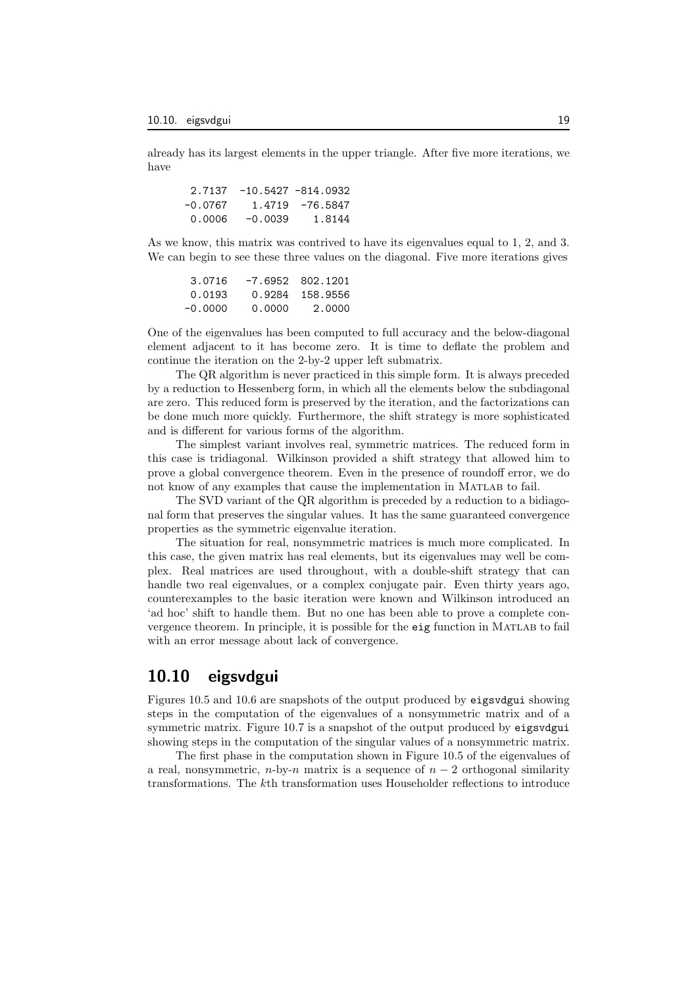already has its largest elements in the upper triangle. After five more iterations, we have

| 2.7137  |           | $-10.5427 - 814.0932$ |
|---------|-----------|-----------------------|
| -0.0767 |           | 1.4719 -76.5847       |
| 0.0006  | $-0.0039$ | 1.8144                |

As we know, this matrix was contrived to have its eigenvalues equal to 1, 2, and 3. We can begin to see these three values on the diagonal. Five more iterations gives

| 3.0716    |        | $-7.6952$ 802.1201 |
|-----------|--------|--------------------|
| 0.0193    |        | 0.9284 158.9556    |
| $-0.0000$ | 0.0000 | 2.0000             |

One of the eigenvalues has been computed to full accuracy and the below-diagonal element adjacent to it has become zero. It is time to deflate the problem and continue the iteration on the 2-by-2 upper left submatrix.

The QR algorithm is never practiced in this simple form. It is always preceded by a reduction to Hessenberg form, in which all the elements below the subdiagonal are zero. This reduced form is preserved by the iteration, and the factorizations can be done much more quickly. Furthermore, the shift strategy is more sophisticated and is different for various forms of the algorithm.

The simplest variant involves real, symmetric matrices. The reduced form in this case is tridiagonal. Wilkinson provided a shift strategy that allowed him to prove a global convergence theorem. Even in the presence of roundoff error, we do not know of any examples that cause the implementation in Matlab to fail.

The SVD variant of the QR algorithm is preceded by a reduction to a bidiagonal form that preserves the singular values. It has the same guaranteed convergence properties as the symmetric eigenvalue iteration.

The situation for real, nonsymmetric matrices is much more complicated. In this case, the given matrix has real elements, but its eigenvalues may well be complex. Real matrices are used throughout, with a double-shift strategy that can handle two real eigenvalues, or a complex conjugate pair. Even thirty years ago, counterexamples to the basic iteration were known and Wilkinson introduced an 'ad hoc' shift to handle them. But no one has been able to prove a complete convergence theorem. In principle, it is possible for the eig function in Matlab to fail with an error message about lack of convergence.

#### **10.10 eigsvdgui**

Figures 10.5 and 10.6 are snapshots of the output produced by eigsvdgui showing steps in the computation of the eigenvalues of a nonsymmetric matrix and of a symmetric matrix. Figure 10.7 is a snapshot of the output produced by eigsvdgui showing steps in the computation of the singular values of a nonsymmetric matrix.

The first phase in the computation shown in Figure 10.5 of the eigenvalues of a real, nonsymmetric,  $n$ -by- $n$  matrix is a sequence of  $n-2$  orthogonal similarity transformations. The *k*th transformation uses Householder reflections to introduce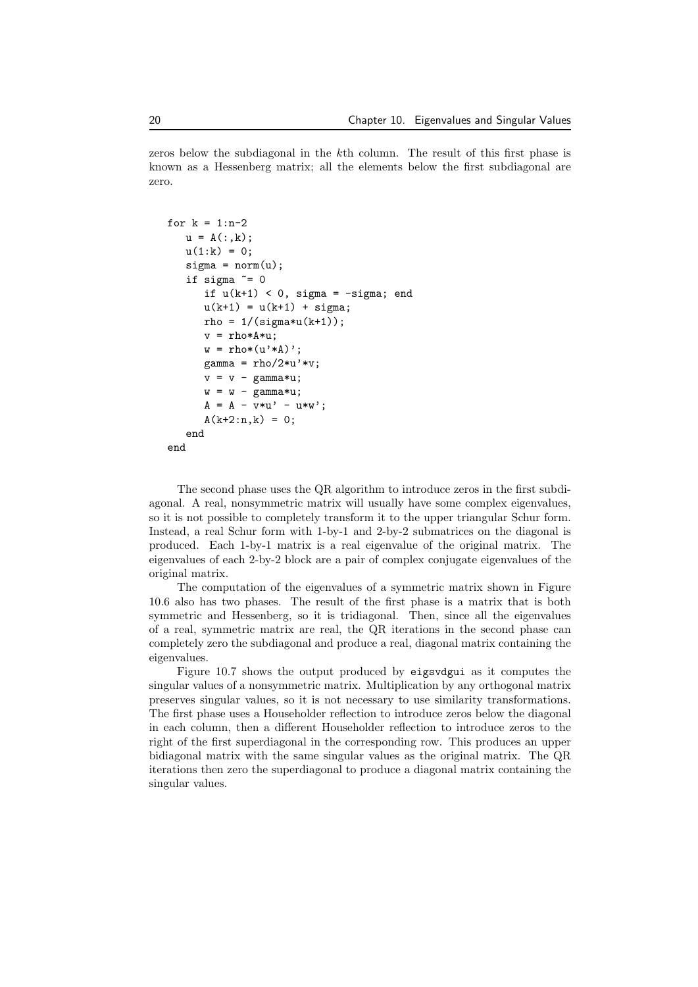zeros below the subdiagonal in the *k*th column. The result of this first phase is known as a Hessenberg matrix; all the elements below the first subdiagonal are zero.

```
for k = 1:n-2u = A(:,k);u(1:k) = 0;signa = norm(u);if sigma z = 0if u(k+1) < 0, sigma = -sigma; end
      u(k+1) = u(k+1) + signa;rho = 1/(signa * u(k+1));v =rho*A*u;
      w = \text{rho}*(u'*A)';
      gamma = rho/2*u'*v;v = v - \text{gamma}w = w - \text{gamma}A = A - v * u' - u * w';A(k+2:n,k) = 0;end
end
```
The second phase uses the QR algorithm to introduce zeros in the first subdiagonal. A real, nonsymmetric matrix will usually have some complex eigenvalues, so it is not possible to completely transform it to the upper triangular Schur form. Instead, a real Schur form with 1-by-1 and 2-by-2 submatrices on the diagonal is produced. Each 1-by-1 matrix is a real eigenvalue of the original matrix. The eigenvalues of each 2-by-2 block are a pair of complex conjugate eigenvalues of the original matrix.

The computation of the eigenvalues of a symmetric matrix shown in Figure 10.6 also has two phases. The result of the first phase is a matrix that is both symmetric and Hessenberg, so it is tridiagonal. Then, since all the eigenvalues of a real, symmetric matrix are real, the QR iterations in the second phase can completely zero the subdiagonal and produce a real, diagonal matrix containing the eigenvalues.

Figure 10.7 shows the output produced by eigsvdgui as it computes the singular values of a nonsymmetric matrix. Multiplication by any orthogonal matrix preserves singular values, so it is not necessary to use similarity transformations. The first phase uses a Householder reflection to introduce zeros below the diagonal in each column, then a different Householder reflection to introduce zeros to the right of the first superdiagonal in the corresponding row. This produces an upper bidiagonal matrix with the same singular values as the original matrix. The QR iterations then zero the superdiagonal to produce a diagonal matrix containing the singular values.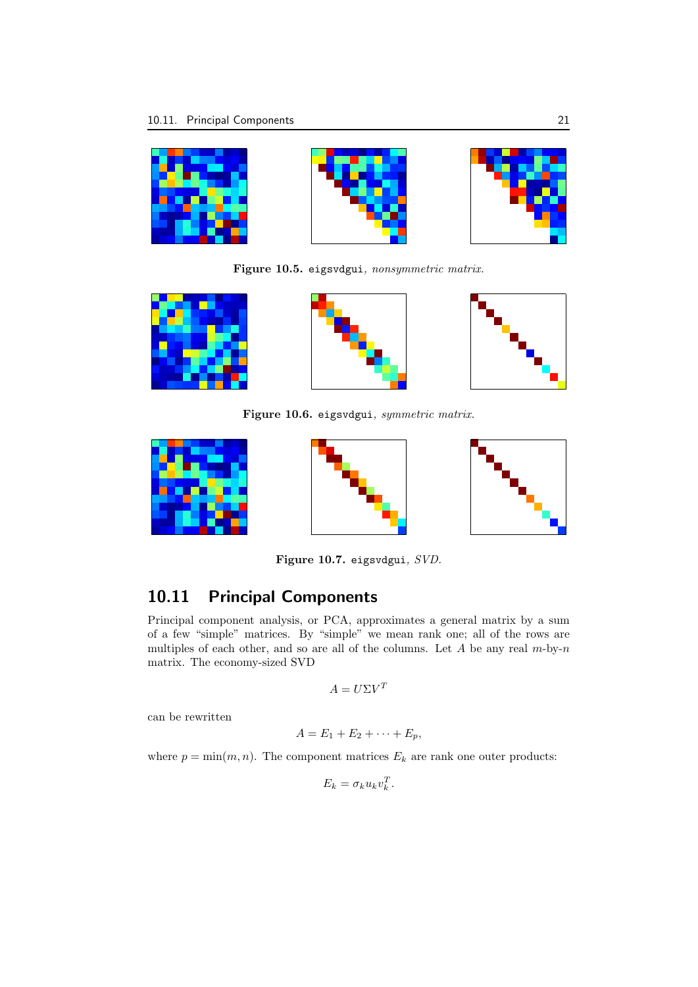





**Figure 10.5.** eigsvdgui*, nonsymmetric matrix.*







**Figure 10.6.** eigsvdgui*, symmetric matrix.*







**Figure 10.7.** eigsvdgui*, SVD.*

# **10.11 Principal Components**

Principal component analysis, or PCA, approximates a general matrix by a sum of a few "simple" matrices. By "simple" we mean rank one; all of the rows are multiples of each other, and so are all of the columns. Let *A* be any real *m*-by-*n* matrix. The economy-sized SVD

$$
A = U \Sigma V^T
$$

can be rewritten

$$
A=E_1+E_2+\cdots+E_p,
$$

where  $p = \min(m, n)$ . The component matrices  $E_k$  are rank one outer products:

$$
E_k = \sigma_k u_k v_k^T.
$$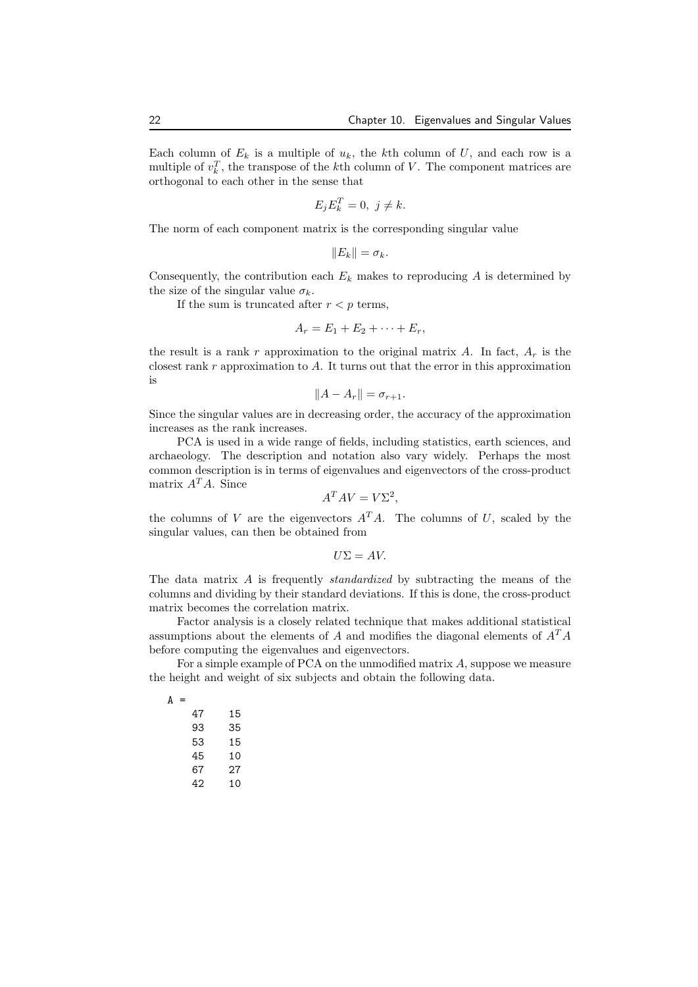Each column of  $E_k$  is a multiple of  $u_k$ , the k<sup>th</sup> column of  $U$ , and each row is a multiple of  $v_k^T$ , the transpose of the *k*th column of *V*. The component matrices are orthogonal to each other in the sense that

$$
E_j E_k^T = 0, \ j \neq k.
$$

The norm of each component matrix is the corresponding singular value

$$
||E_k|| = \sigma_k.
$$

Consequently, the contribution each  $E_k$  makes to reproducing *A* is determined by the size of the singular value  $\sigma_k$ .

If the sum is truncated after  $r < p$  terms,

$$
A_r = E_1 + E_2 + \cdots + E_r,
$$

the result is a rank  $r$  approximation to the original matrix  $A$ . In fact,  $A_r$  is the closest rank *r* approximation to *A*. It turns out that the error in this approximation is

$$
||A - A_r|| = \sigma_{r+1}.
$$

Since the singular values are in decreasing order, the accuracy of the approximation increases as the rank increases.

PCA is used in a wide range of fields, including statistics, earth sciences, and archaeology. The description and notation also vary widely. Perhaps the most common description is in terms of eigenvalues and eigenvectors of the cross-product matrix  $A^T A$ . Since

$$
A^T A V = V \Sigma^2,
$$

the columns of *V* are the eigenvectors  $A<sup>T</sup>A$ . The columns of *U*, scaled by the singular values, can then be obtained from

$$
U\Sigma = AV.
$$

The data matrix *A* is frequently *standardized* by subtracting the means of the columns and dividing by their standard deviations. If this is done, the cross-product matrix becomes the correlation matrix.

Factor analysis is a closely related technique that makes additional statistical assumptions about the elements of *A* and modifies the diagonal elements of *A<sup>T</sup> A* before computing the eigenvalues and eigenvectors.

For a simple example of PCA on the unmodified matrix *A*, suppose we measure the height and weight of six subjects and obtain the following data.

| 47 | 15 |
|----|----|
| 93 | 35 |
| 53 | 15 |
| 45 | 10 |
| 67 | 27 |
| 42 | 10 |

 $\overline{A}$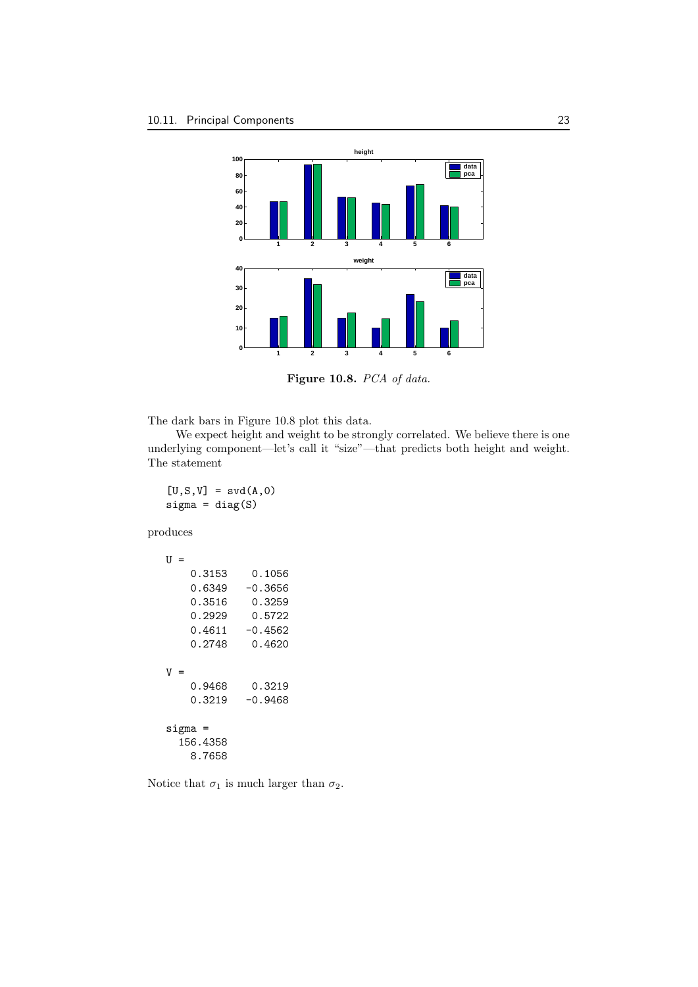

**Figure 10.8.** *PCA of data.*

The dark bars in Figure 10.8 plot this data.

We expect height and weight to be strongly correlated. We believe there is one underlying component—let's call it "size"—that predicts both height and weight. The statement

```
[U, S, V] = svd(A, 0)signa = diag(S)
```
produces

```
U =0.3153 0.1056
   0.6349 - 0.36560.3516 0.3259
   0.2929 0.5722
   0.4611 - 0.45620.2748 0.4620
V =0.9468 0.3219
   0.3219 - 0.9468sigma =
 156.4358
   8.7658
```
Notice that  $\sigma_1$  is much larger than  $\sigma_2$ .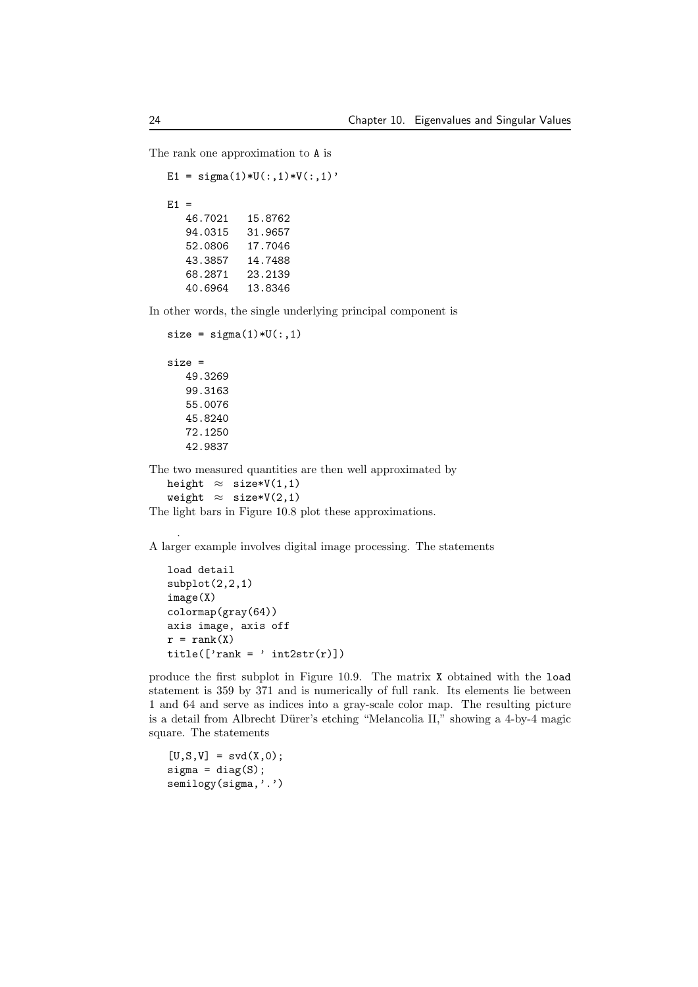The rank one approximation to A is

E1 = sigma $(1)*U(:,1)*V(:,1)'$  $E1 =$ 46.7021 15.8762 94.0315 31.9657 52.0806 17.7046 43.3857 14.7488 68.2871 23.2139 40.6964 13.8346

In other words, the single underlying principal component is

```
size = sigma(1)*U(:,1)size =
   49.3269
   99.3163
   55.0076
   45.8240
   72.1250
   42.9837
```
The two measured quantities are then well approximated by height  $\approx$  size\*V(1,1) weight *≈* size\*V(2,1) The light bars in Figure 10.8 plot these approximations.

A larger example involves digital image processing. The statements

load detail  $subplot(2,2,1)$ image(X) colormap(gray(64)) axis image, axis off  $r = \text{rank}(X)$  $title(['rank = 'int2str(r)])$ 

.

produce the first subplot in Figure 10.9. The matrix X obtained with the load statement is 359 by 371 and is numerically of full rank. Its elements lie between 1 and 64 and serve as indices into a gray-scale color map. The resulting picture is a detail from Albrecht Dürer's etching "Melancolia II," showing a 4-by-4 magic square. The statements

 $[U, S, V] = svd(X, 0);$  $signa = diag(S);$ semilogy(sigma,'.')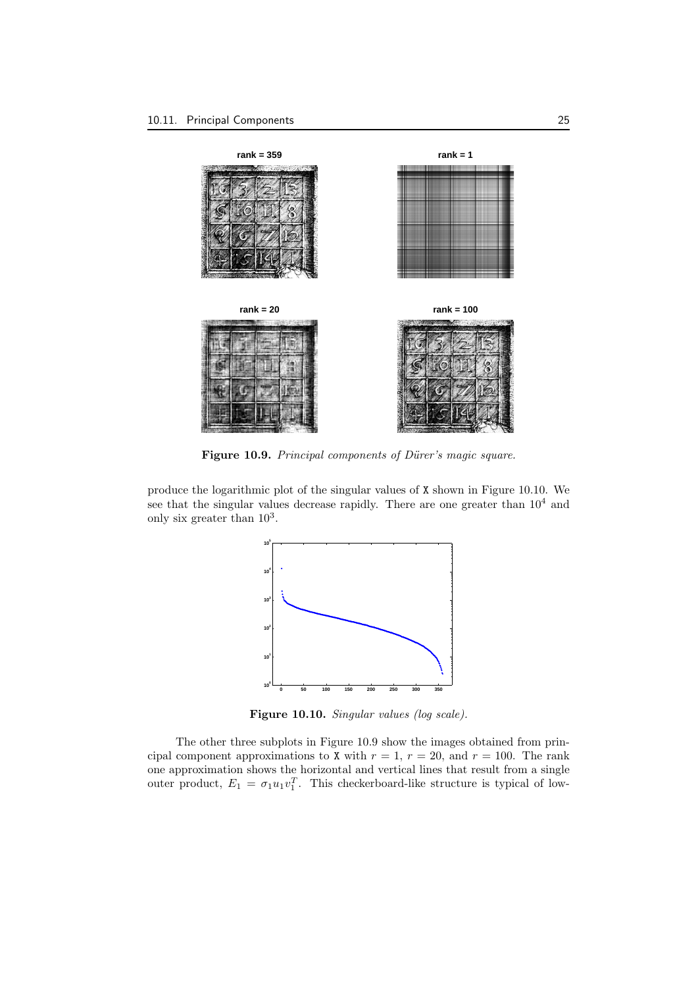

Figure 10.9. *Principal components of Dürer's magic square.* 

produce the logarithmic plot of the singular values of X shown in Figure 10.10. We see that the singular values decrease rapidly. There are one greater than  $10<sup>4</sup>$  and only six greater than  $10^3$ .



**Figure 10.10.** *Singular values (log scale).*

The other three subplots in Figure 10.9 show the images obtained from principal component approximations to X with  $r = 1$ ,  $r = 20$ , and  $r = 100$ . The rank one approximation shows the horizontal and vertical lines that result from a single outer product,  $E_1 = \sigma_1 u_1 v_1^T$ . This checkerboard-like structure is typical of low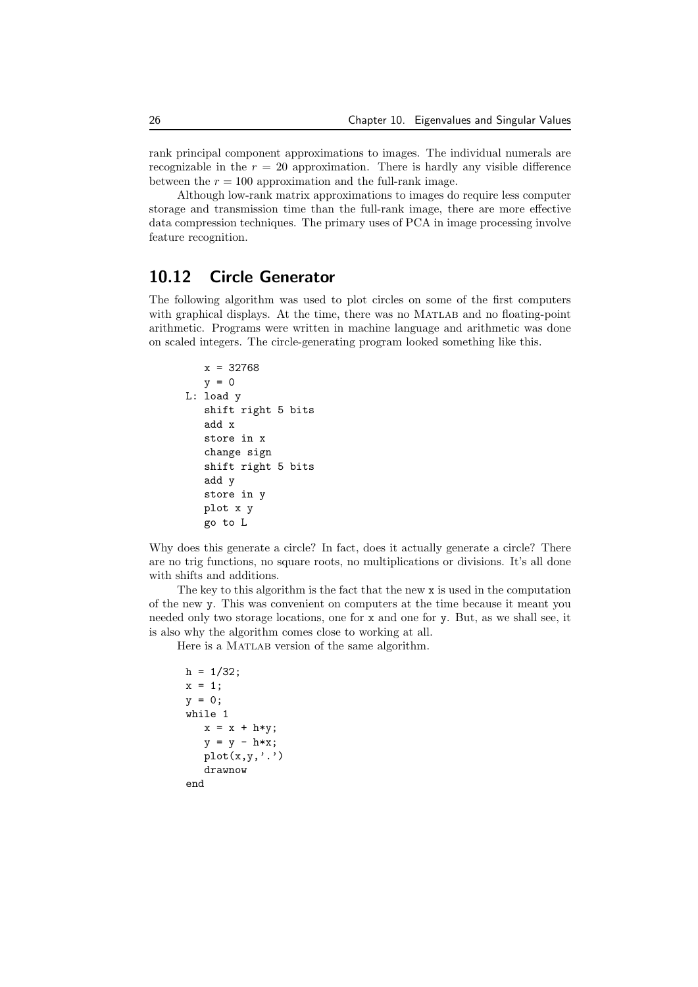rank principal component approximations to images. The individual numerals are recognizable in the  $r = 20$  approximation. There is hardly any visible difference between the  $r = 100$  approximation and the full-rank image.

Although low-rank matrix approximations to images do require less computer storage and transmission time than the full-rank image, there are more effective data compression techniques. The primary uses of PCA in image processing involve feature recognition.

## **10.12 Circle Generator**

The following algorithm was used to plot circles on some of the first computers with graphical displays. At the time, there was no MATLAB and no floating-point arithmetic. Programs were written in machine language and arithmetic was done on scaled integers. The circle-generating program looked something like this.

```
x = 32768y = 0L: load y
   shift right 5 bits
   add x
   store in x
   change sign
   shift right 5 bits
   add y
   store in y
   plot x y
   go to L
```
Why does this generate a circle? In fact, does it actually generate a circle? There are no trig functions, no square roots, no multiplications or divisions. It's all done with shifts and additions.

The key to this algorithm is the fact that the new x is used in the computation of the new y. This was convenient on computers at the time because it meant you needed only two storage locations, one for x and one for y. But, as we shall see, it is also why the algorithm comes close to working at all.

Here is a MATLAB version of the same algorithm.

```
h = 1/32;x = 1;y = 0;while 1
   x = x + h * v;
   y = y - h*x;plot(x,y,'')drawnow
end
```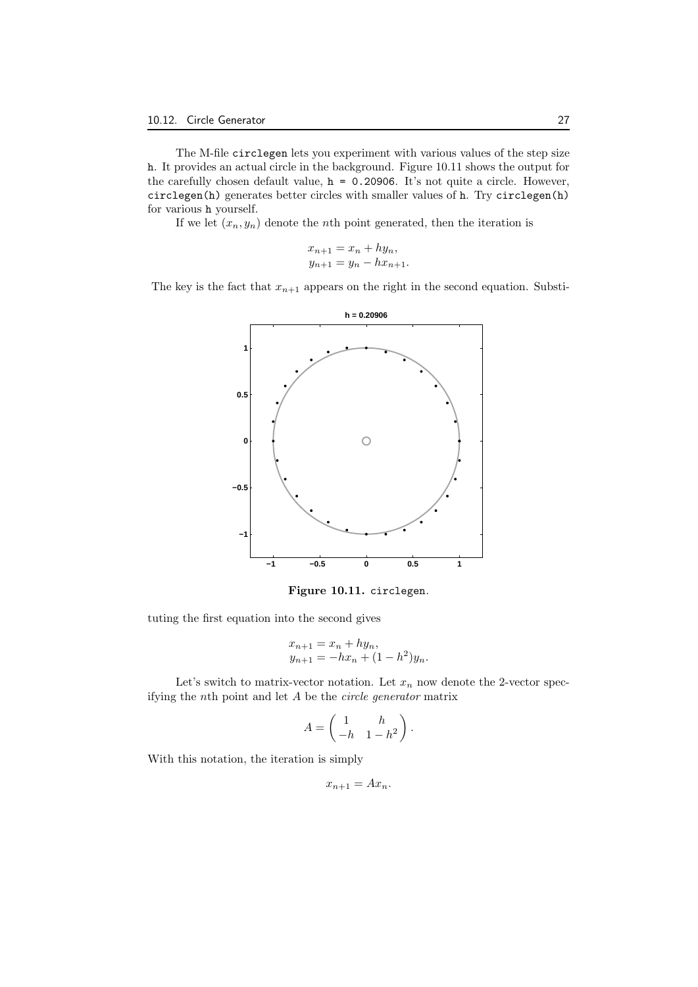The M-file circlegen lets you experiment with various values of the step size h. It provides an actual circle in the background. Figure 10.11 shows the output for the carefully chosen default value,  $h = 0.20906$ . It's not quite a circle. However, circlegen(h) generates better circles with smaller values of h. Try circlegen(h) for various h yourself.

If we let  $(x_n, y_n)$  denote the *n*th point generated, then the iteration is

$$
x_{n+1} = x_n + hy_n,
$$
  

$$
y_{n+1} = y_n - hx_{n+1}.
$$

The key is the fact that  $x_{n+1}$  appears on the right in the second equation. Substi-



**Figure 10.11.** circlegen*.*

tuting the first equation into the second gives

$$
x_{n+1} = x_n + hy_n,
$$
  

$$
y_{n+1} = -hx_n + (1 - h^2)y_n.
$$

Let's switch to matrix-vector notation. Let  $x_n$  now denote the 2-vector specifying the *n*th point and let *A* be the *circle generator* matrix

$$
A = \begin{pmatrix} 1 & h \\ -h & 1 - h^2 \end{pmatrix}.
$$

With this notation, the iteration is simply

$$
x_{n+1} = Ax_n.
$$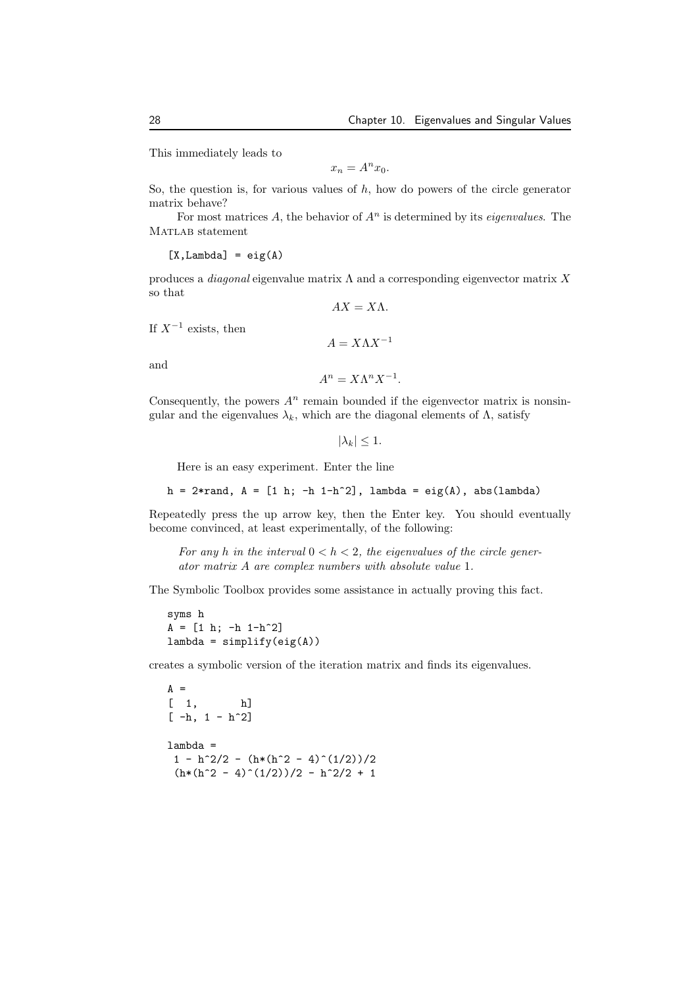This immediately leads to

$$
x_n = A^n x_0.
$$

So, the question is, for various values of *h*, how do powers of the circle generator matrix behave?

For most matrices *A*, the behavior of *A<sup>n</sup>* is determined by its *eigenvalues*. The MATLAB statement

 $[X, Lambda] = eig(A)$ 

produces a *diagonal* eigenvalue matrix Λ and a corresponding eigenvector matrix *X* so that

$$
AX = X\Lambda.
$$

If *X−*<sup>1</sup> exists, then

$$
A = X\Lambda X^{-1}
$$

and

$$
A^n = X\Lambda^n X^{-1}.
$$

Consequently, the powers  $A^n$  remain bounded if the eigenvector matrix is nonsingular and the eigenvalues  $\lambda_k$ , which are the diagonal elements of  $\Lambda$ , satisfy

 $|\lambda_k| \leq 1$ .

Here is an easy experiment. Enter the line

h = 2\*rand, A =  $[1 h; -h 1-h^2]$ , lambda = eig(A), abs(lambda)

Repeatedly press the up arrow key, then the Enter key. You should eventually become convinced, at least experimentally, of the following:

For any *h* in the interval  $0 < h < 2$ , the eigenvalues of the circle gener*ator matrix A are complex numbers with absolute value* 1*.*

The Symbolic Toolbox provides some assistance in actually proving this fact.

```
syms h
A = [1 h; -h 1-h^2]lambda = simplify(eig(A))
```
creates a symbolic version of the iteration matrix and finds its eigenvalues.

$$
A = \begin{bmatrix} 1, & h \end{bmatrix}
$$
  
\n
$$
\begin{bmatrix} -h, 1 - h^2 \end{bmatrix}
$$
  
\n
$$
1 - h^2/2 - (h * (h^2 - 4)^(1/2))/2
$$
  
\n
$$
(h * (h^2 - 4)^(1/2))/2 - h^2/2 + 1
$$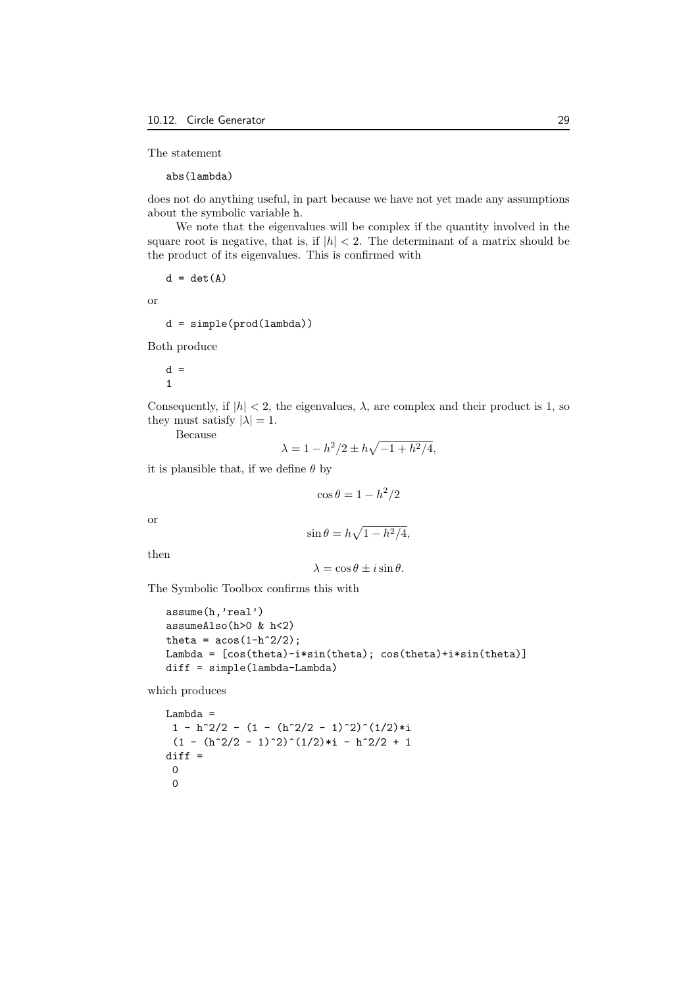#### The statement

abs(lambda)

does not do anything useful, in part because we have not yet made any assumptions about the symbolic variable h.

We note that the eigenvalues will be complex if the quantity involved in the square root is negative, that is, if  $|h| < 2$ . The determinant of a matrix should be the product of its eigenvalues. This is confirmed with

 $d = det(A)$ 

or

```
d = simple(prod(lambda))
```
Both produce

 $d =$ 1

Consequently, if  $|h| < 2$ , the eigenvalues,  $\lambda$ , are complex and their product is 1, so they must satisfy  $|\lambda| = 1$ .

Because

$$
\lambda = 1 - h^2/2 \pm h\sqrt{-1 + h^2/4},
$$

it is plausible that, if we define *θ* by

$$
\cos \theta = 1 - h^2/2
$$

or

$$
\sin \theta = h \sqrt{1 - h^2/4},
$$

then

$$
\lambda = \cos \theta \pm i \sin \theta.
$$

The Symbolic Toolbox confirms this with

```
assume(h,'real')
assumeAlso(h>0 & h<2)
theta = acos(1-h^2/2);
Lambda = [cos(theta)-i*sin(theta); cos(theta)+i*sin(theta)]diff = simple(lambda-Lambda)
```
which produces

Lambda =  $1 - h^2/2 - (1 - (h^2/2 - 1)^2)(1/2)*i$  $(1 - (h^2/2 - 1)^2)(1/2)*i - h^2/2 + 1$  $diff =$ 0  $\overline{0}$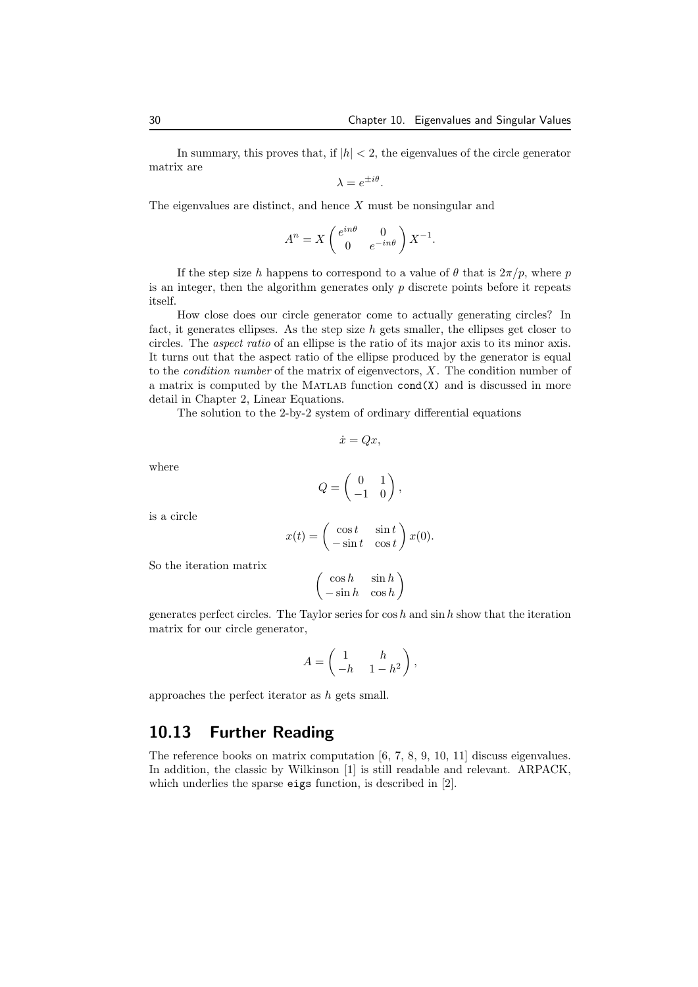In summary, this proves that, if  $|h| < 2$ , the eigenvalues of the circle generator matrix are

 $\lambda = e^{\pm i\theta}$ .

The eigenvalues are distinct, and hence *X* must be nonsingular and

$$
A^n = X \begin{pmatrix} e^{in\theta} & 0 \\ 0 & e^{-in\theta} \end{pmatrix} X^{-1}.
$$

If the step size *h* happens to correspond to a value of  $\theta$  that is  $2\pi/p$ , where *p* is an integer, then the algorithm generates only *p* discrete points before it repeats itself.

How close does our circle generator come to actually generating circles? In fact, it generates ellipses. As the step size *h* gets smaller, the ellipses get closer to circles. The *aspect ratio* of an ellipse is the ratio of its major axis to its minor axis. It turns out that the aspect ratio of the ellipse produced by the generator is equal to the *condition number* of the matrix of eigenvectors, *X*. The condition number of a matrix is computed by the MATLAB function  $cond(X)$  and is discussed in more detail in Chapter 2, Linear Equations.

The solution to the 2-by-2 system of ordinary differential equations

$$
\dot{x} = Qx,
$$

where

$$
Q = \begin{pmatrix} 0 & 1 \\ -1 & 0 \end{pmatrix},
$$

is a circle

$$
x(t) = \begin{pmatrix} \cos t & \sin t \\ -\sin t & \cos t \end{pmatrix} x(0).
$$

So the iteration matrix

$$
\begin{pmatrix}\n\cos h & \sin h \\
-\sin h & \cos h\n\end{pmatrix}
$$

generates perfect circles. The Taylor series for cos *h* and sin *h* show that the iteration matrix for our circle generator,

$$
A = \begin{pmatrix} 1 & h \\ -h & 1 - h^2 \end{pmatrix},
$$

approaches the perfect iterator as *h* gets small.

### **10.13 Further Reading**

The reference books on matrix computation [6, 7, 8, 9, 10, 11] discuss eigenvalues. In addition, the classic by Wilkinson [1] is still readable and relevant. ARPACK, which underlies the sparse eigs function, is described in [2].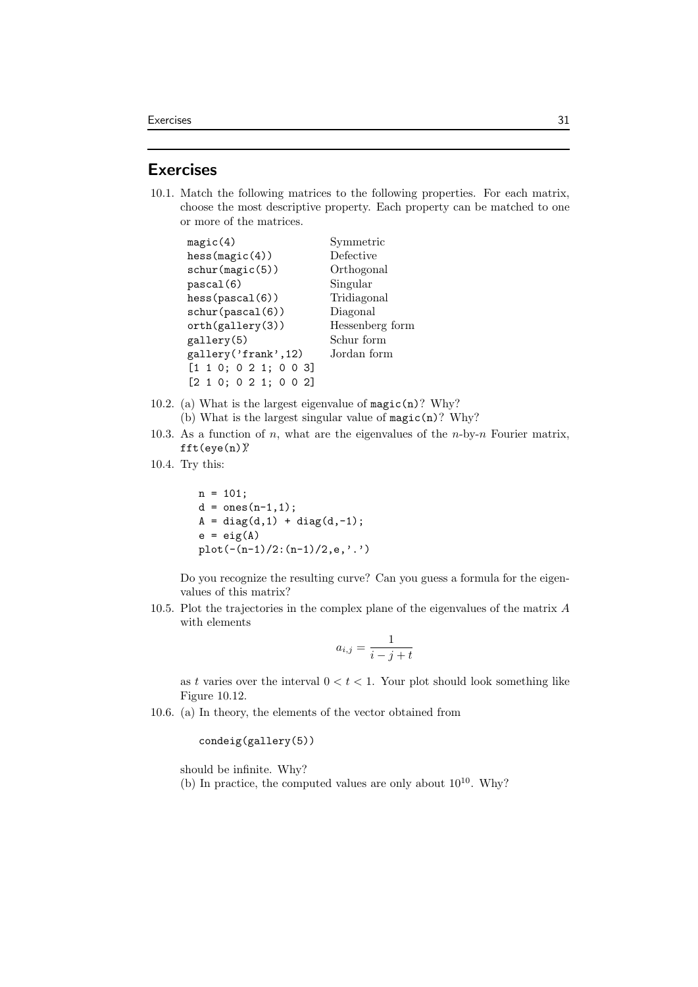## **Exercises**

10.1. Match the following matrices to the following properties. For each matrix, choose the most descriptive property. Each property can be matched to one or more of the matrices.

| Symmetric       |
|-----------------|
| Defective       |
| Orthogonal      |
| Singular        |
| Tridiagonal     |
| Diagonal        |
| Hessenberg form |
| Schur form      |
| Jordan form     |
|                 |
|                 |
|                 |

- 10.2. (a) What is the largest eigenvalue of magic(n)? Why? (b) What is the largest singular value of  $\text{magic}(n)$ ? Why?
- 10.3. As a function of *n*, what are the eigenvalues of the *n*-by-*n* Fourier matrix, fft(eye(n))?
- 10.4. Try this:

 $n = 101;$  $d = ones(n-1,1);$  $A = diag(d, 1) + diag(d, -1);$  $e = eig(A)$ plot(-(n-1)/2:(n-1)/2,e,'.')

Do you recognize the resulting curve? Can you guess a formula for the eigenvalues of this matrix?

10.5. Plot the trajectories in the complex plane of the eigenvalues of the matrix *A* with elements

$$
a_{i,j} = \frac{1}{i - j + t}
$$

as *t* varies over the interval  $0 < t < 1$ . Your plot should look something like Figure 10.12.

10.6. (a) In theory, the elements of the vector obtained from

condeig(gallery(5))

should be infinite. Why?

(b) In practice, the computed values are only about  $10^{10}$ . Why?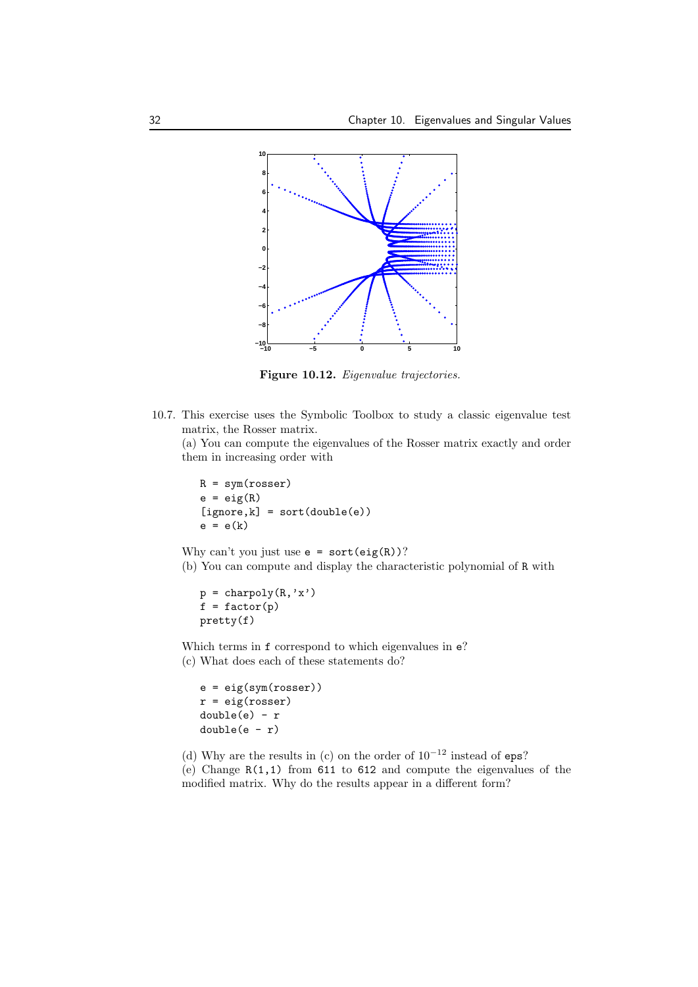

**Figure 10.12.** *Eigenvalue trajectories.*

10.7. This exercise uses the Symbolic Toolbox to study a classic eigenvalue test matrix, the Rosser matrix.

(a) You can compute the eigenvalues of the Rosser matrix exactly and order them in increasing order with

 $R = sym(rosser)$  $e = eig(R)$  $[igmore,k] = sort(double(e))$  $e = e(k)$ 

Why can't you just use  $e = sort(eig(R))$ ?

(b) You can compute and display the characteristic polynomial of R with

 $p = \text{charpoly}(R, 'x')$  $f = factor(p)$ pretty(f)

Which terms in  $f$  correspond to which eigenvalues in  $e$ ? (c) What does each of these statements do?

```
e = eig(sym(rosser))r = eig(rosser)double(e) - rdouble(e - r)
```
(d) Why are the results in (c) on the order of 10*−*<sup>12</sup> instead of eps? (e) Change  $R(1,1)$  from 611 to 612 and compute the eigenvalues of the modified matrix. Why do the results appear in a different form?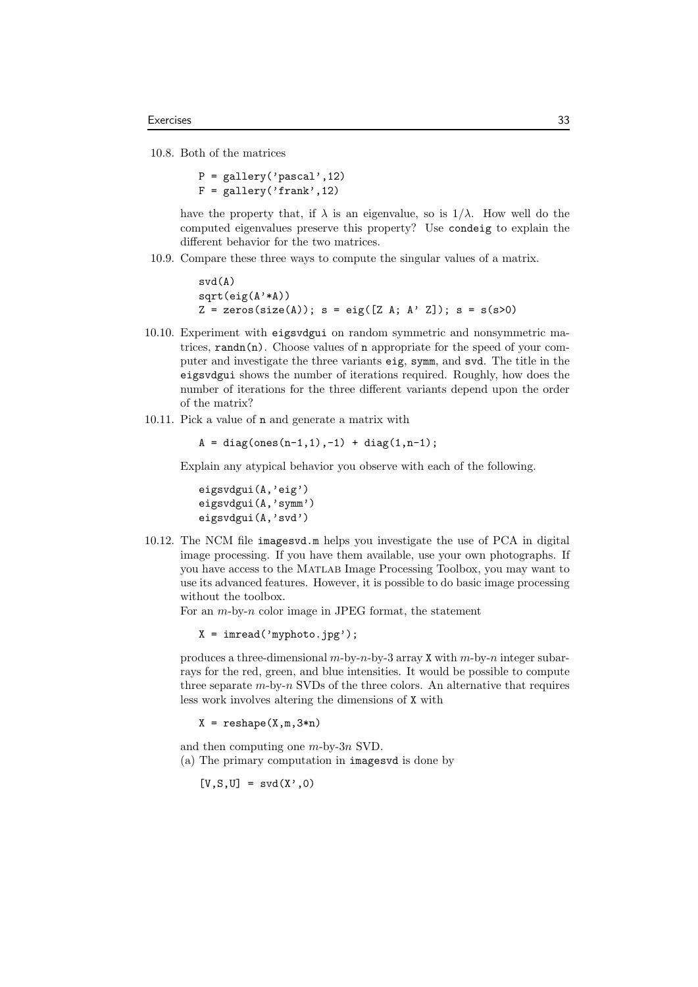10.8. Both of the matrices

```
P = gallery('pascal', 12)
F = gallery('frank', 12)
```
have the property that, if  $\lambda$  is an eigenvalue, so is  $1/\lambda$ . How well do the computed eigenvalues preserve this property? Use condeig to explain the different behavior for the two matrices.

10.9. Compare these three ways to compute the singular values of a matrix.

```
svd(A)
sqrt(eig(A'*A))
Z = zeros(size(A)); s = eig([Z A; A' Z]); s = s(s>0)
```
- 10.10. Experiment with eigsvdgui on random symmetric and nonsymmetric matrices,  $\text{randn}(n)$ . Choose values of n appropriate for the speed of your computer and investigate the three variants eig, symm, and svd. The title in the eigsvdgui shows the number of iterations required. Roughly, how does the number of iterations for the three different variants depend upon the order of the matrix?
- 10.11. Pick a value of n and generate a matrix with

 $A = diag(ones(n-1,1), -1) + diag(1, n-1);$ 

Explain any atypical behavior you observe with each of the following.

```
eigsvdgui(A,'eig')
eigsvdgui(A,'symm')
eigsvdgui(A,'svd')
```
10.12. The NCM file imagesvd.m helps you investigate the use of PCA in digital image processing. If you have them available, use your own photographs. If you have access to the Matlab Image Processing Toolbox, you may want to use its advanced features. However, it is possible to do basic image processing without the toolbox.

For an *m*-by-*n* color image in JPEG format, the statement

 $X = \text{imread('myphoto.jpg');$ 

produces a three-dimensional *m*-by-*n*-by-3 array X with *m*-by-*n* integer subarrays for the red, green, and blue intensities. It would be possible to compute three separate *m*-by-*n* SVDs of the three colors. An alternative that requires less work involves altering the dimensions of X with

 $X = \text{reshape}(X, m, 3*n)$ 

and then computing one *m*-by-3*n* SVD.

(a) The primary computation in imagesvd is done by

 $[V, S, U] = svd(X', 0)$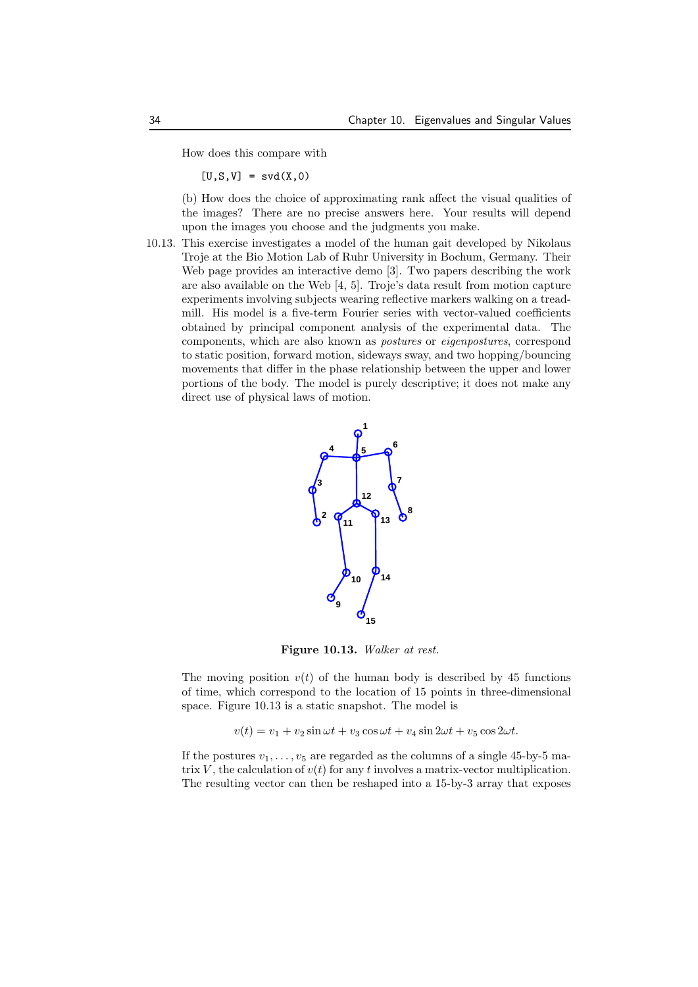How does this compare with

 $[U, S, V] = \text{svd}(X, 0)$ 

(b) How does the choice of approximating rank affect the visual qualities of the images? There are no precise answers here. Your results will depend upon the images you choose and the judgments you make.

10.13. This exercise investigates a model of the human gait developed by Nikolaus Troje at the Bio Motion Lab of Ruhr University in Bochum, Germany. Their Web page provides an interactive demo [3]. Two papers describing the work are also available on the Web [4, 5]. Troje's data result from motion capture experiments involving subjects wearing reflective markers walking on a treadmill. His model is a five-term Fourier series with vector-valued coefficients obtained by principal component analysis of the experimental data. The components, which are also known as *postures* or *eigenpostures*, correspond to static position, forward motion, sideways sway, and two hopping/bouncing movements that differ in the phase relationship between the upper and lower portions of the body. The model is purely descriptive; it does not make any direct use of physical laws of motion.



**Figure 10.13.** *Walker at rest.*

The moving position  $v(t)$  of the human body is described by 45 functions of time, which correspond to the location of 15 points in three-dimensional space. Figure 10.13 is a static snapshot. The model is

 $v(t) = v_1 + v_2 \sin \omega t + v_3 \cos \omega t + v_4 \sin 2\omega t + v_5 \cos 2\omega t.$ 

If the postures  $v_1, \ldots, v_5$  are regarded as the columns of a single 45-by-5 matrix  $V$ , the calculation of  $v(t)$  for any  $t$  involves a matrix-vector multiplication. The resulting vector can then be reshaped into a 15-by-3 array that exposes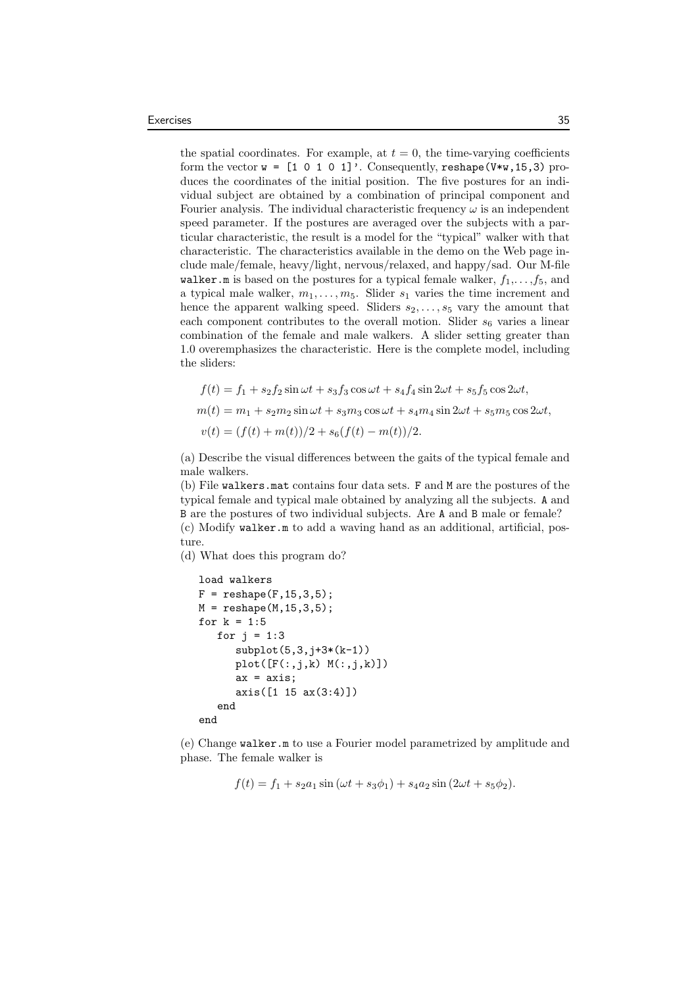the spatial coordinates. For example, at  $t = 0$ , the time-varying coefficients form the vector  $w = [1 \ 0 \ 1 \ 0 \ 1]$ . Consequently, reshape(V\*w, 15,3) produces the coordinates of the initial position. The five postures for an individual subject are obtained by a combination of principal component and Fourier analysis. The individual characteristic frequency  $\omega$  is an independent speed parameter. If the postures are averaged over the subjects with a particular characteristic, the result is a model for the "typical" walker with that characteristic. The characteristics available in the demo on the Web page include male/female, heavy/light, nervous/relaxed, and happy/sad. Our M-file walker.m is based on the postures for a typical female walker,  $f_1, \ldots, f_5$ , and a typical male walker,  $m_1, \ldots, m_5$ . Slider  $s_1$  varies the time increment and hence the apparent walking speed. Sliders  $s_2, \ldots, s_5$  vary the amount that each component contributes to the overall motion. Slider  $s<sub>6</sub>$  varies a linear combination of the female and male walkers. A slider setting greater than 1.0 overemphasizes the characteristic. Here is the complete model, including the sliders:

$$
f(t) = f_1 + s_2 f_2 \sin \omega t + s_3 f_3 \cos \omega t + s_4 f_4 \sin 2\omega t + s_5 f_5 \cos 2\omega t,
$$
  
\n
$$
m(t) = m_1 + s_2 m_2 \sin \omega t + s_3 m_3 \cos \omega t + s_4 m_4 \sin 2\omega t + s_5 m_5 \cos 2\omega t,
$$
  
\n
$$
v(t) = (f(t) + m(t))/2 + s_6 (f(t) - m(t))/2.
$$

(a) Describe the visual differences between the gaits of the typical female and male walkers.

(b) File walkers.mat contains four data sets. F and M are the postures of the typical female and typical male obtained by analyzing all the subjects. A and B are the postures of two individual subjects. Are A and B male or female? (c) Modify walker.m to add a waving hand as an additional, artificial, posture.

(d) What does this program do?

```
load walkers
F = reshape(F, 15, 3, 5);
M = reshape(M, 15, 3, 5);
for k = 1:5for j = 1:3subplot(5,3,j+3*(k-1))
      plot([F(:,j,k) M(:,j,k)])
      ax = axis;axis([1 15 ax(3:4)])
   end
end
```
(e) Change walker.m to use a Fourier model parametrized by amplitude and phase. The female walker is

$$
f(t) = f_1 + s_2 a_1 \sin(\omega t + s_3 \phi_1) + s_4 a_2 \sin(2\omega t + s_5 \phi_2).
$$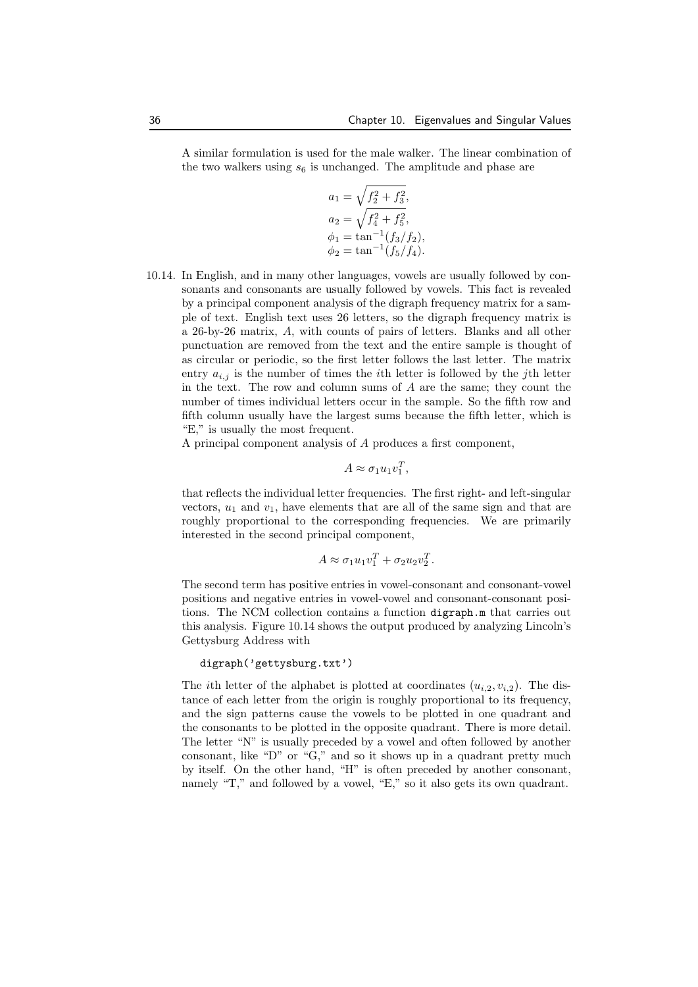A similar formulation is used for the male walker. The linear combination of the two walkers using  $s<sub>6</sub>$  is unchanged. The amplitude and phase are

$$
a_1 = \sqrt{f_2^2 + f_3^2},
$$
  
\n
$$
a_2 = \sqrt{f_4^2 + f_5^2},
$$
  
\n
$$
\phi_1 = \tan^{-1}(f_3/f_2),
$$
  
\n
$$
\phi_2 = \tan^{-1}(f_5/f_4).
$$

10.14. In English, and in many other languages, vowels are usually followed by consonants and consonants are usually followed by vowels. This fact is revealed by a principal component analysis of the digraph frequency matrix for a sample of text. English text uses 26 letters, so the digraph frequency matrix is a 26-by-26 matrix, *A*, with counts of pairs of letters. Blanks and all other punctuation are removed from the text and the entire sample is thought of as circular or periodic, so the first letter follows the last letter. The matrix entry  $a_{i,j}$  is the number of times the *i*th letter is followed by the *j*th letter in the text. The row and column sums of *A* are the same; they count the number of times individual letters occur in the sample. So the fifth row and fifth column usually have the largest sums because the fifth letter, which is "E," is usually the most frequent.

A principal component analysis of *A* produces a first component,

$$
A \approx \sigma_1 u_1 v_1^T,
$$

that reflects the individual letter frequencies. The first right- and left-singular vectors,  $u_1$  and  $v_1$ , have elements that are all of the same sign and that are roughly proportional to the corresponding frequencies. We are primarily interested in the second principal component,

$$
A \approx \sigma_1 u_1 v_1^T + \sigma_2 u_2 v_2^T.
$$

The second term has positive entries in vowel-consonant and consonant-vowel positions and negative entries in vowel-vowel and consonant-consonant positions. The NCM collection contains a function digraph.m that carries out this analysis. Figure 10.14 shows the output produced by analyzing Lincoln's Gettysburg Address with

#### digraph('gettysburg.txt')

The *i*th letter of the alphabet is plotted at coordinates  $(u_{i,2}, v_{i,2})$ . The distance of each letter from the origin is roughly proportional to its frequency, and the sign patterns cause the vowels to be plotted in one quadrant and the consonants to be plotted in the opposite quadrant. There is more detail. The letter "N" is usually preceded by a vowel and often followed by another consonant, like "D" or "G," and so it shows up in a quadrant pretty much by itself. On the other hand, "H" is often preceded by another consonant, namely "T," and followed by a vowel, "E," so it also gets its own quadrant.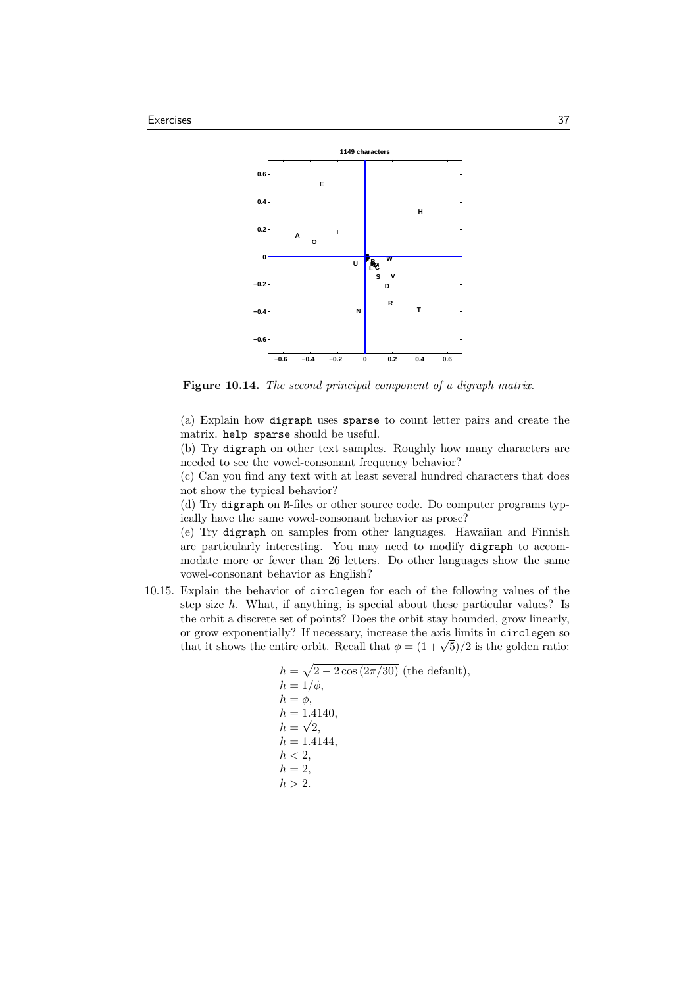

**Figure 10.14.** *The second principal component of a digraph matrix.*

(a) Explain how digraph uses sparse to count letter pairs and create the matrix. help sparse should be useful.

(b) Try digraph on other text samples. Roughly how many characters are needed to see the vowel-consonant frequency behavior?

(c) Can you find any text with at least several hundred characters that does not show the typical behavior?

(d) Try digraph on M-files or other source code. Do computer programs typically have the same vowel-consonant behavior as prose?

(e) Try digraph on samples from other languages. Hawaiian and Finnish are particularly interesting. You may need to modify digraph to accommodate more or fewer than 26 letters. Do other languages show the same vowel-consonant behavior as English?

10.15. Explain the behavior of circlegen for each of the following values of the step size *h*. What, if anything, is special about these particular values? Is the orbit a discrete set of points? Does the orbit stay bounded, grow linearly, or grow exponentially? If necessary, increase the axis limits in circlegen so that it shows the entire orbit. Recall that  $\phi = (1 + \sqrt{5})/2$  is the golden ratio:

$$
h = \sqrt{2 - 2\cos(2\pi/30)} \text{ (the default)},
$$
  
\n
$$
h = 1/\phi,
$$
  
\n
$$
h = \phi,
$$
  
\n
$$
h = 1.4140,
$$
  
\n
$$
h = \sqrt{2},
$$
  
\n
$$
h = 1.4144,
$$
  
\n
$$
h < 2,
$$
  
\n
$$
h = 2,
$$
  
\n
$$
h > 2.
$$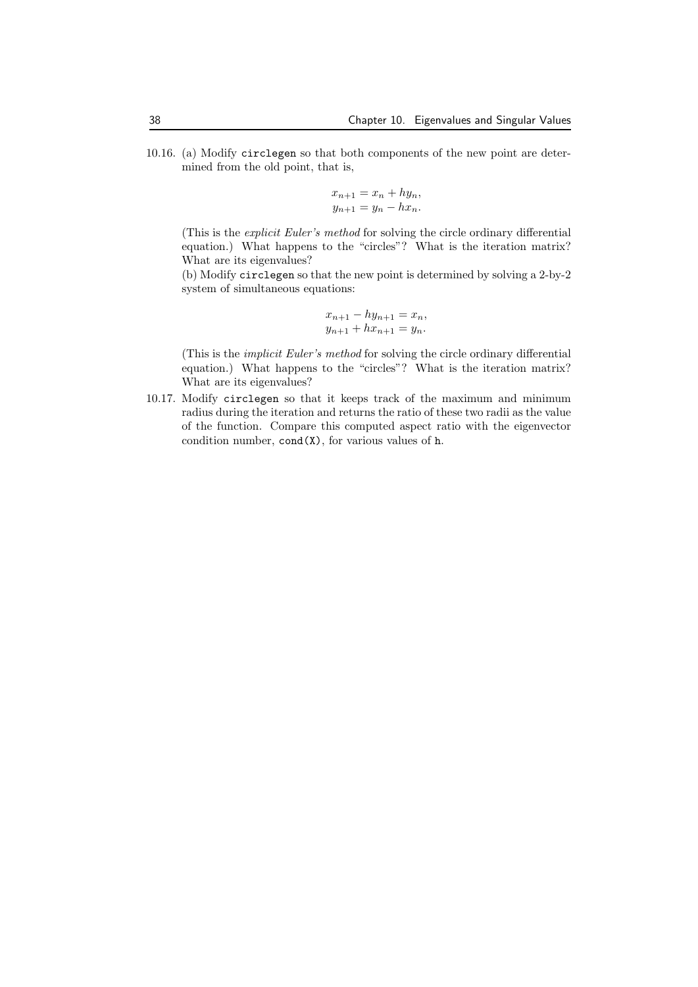10.16. (a) Modify circlegen so that both components of the new point are determined from the old point, that is,

$$
x_{n+1} = x_n + hy_n,
$$
  

$$
y_{n+1} = y_n - hx_n.
$$

(This is the *explicit Euler's method* for solving the circle ordinary differential equation.) What happens to the "circles"? What is the iteration matrix? What are its eigenvalues?

(b) Modify circlegen so that the new point is determined by solving a 2-by-2 system of simultaneous equations:

$$
x_{n+1} - hy_{n+1} = x_n,
$$
  

$$
y_{n+1} + hx_{n+1} = y_n.
$$

(This is the *implicit Euler's method* for solving the circle ordinary differential equation.) What happens to the "circles"? What is the iteration matrix? What are its eigenvalues?

10.17. Modify circlegen so that it keeps track of the maximum and minimum radius during the iteration and returns the ratio of these two radii as the value of the function. Compare this computed aspect ratio with the eigenvector condition number,  $cond(X)$ , for various values of h.